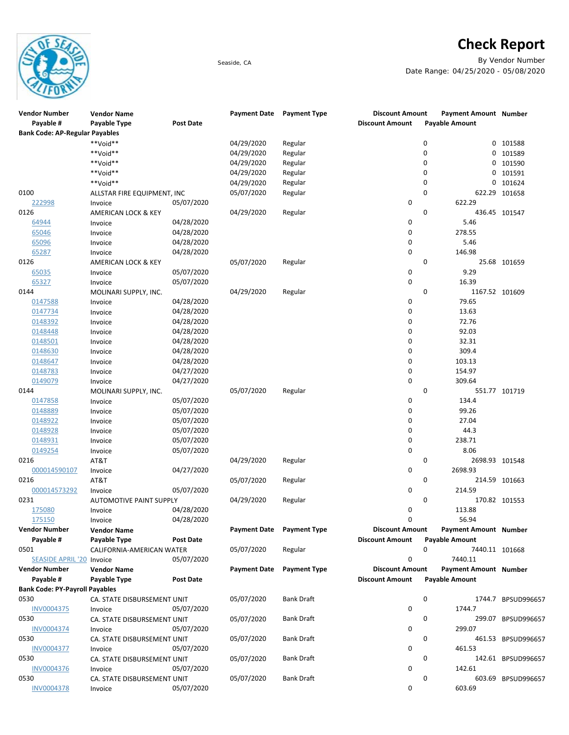

## **Check Report**

Seaside, CA By Vendor Number Date Range: 04/25/2020 - 05/08/2020

| <b>Vendor Number</b><br>Payable #     | <b>Vendor Name</b><br>Payable Type | <b>Post Date</b> | <b>Payment Date</b> | <b>Payment Type</b> | <b>Discount Amount</b><br><b>Discount Amount</b> |   | <b>Payment Amount Number</b><br><b>Payable Amount</b> |                    |
|---------------------------------------|------------------------------------|------------------|---------------------|---------------------|--------------------------------------------------|---|-------------------------------------------------------|--------------------|
| <b>Bank Code: AP-Regular Payables</b> |                                    |                  |                     |                     |                                                  |   |                                                       |                    |
|                                       | **Void**                           |                  | 04/29/2020          | Regular             |                                                  | 0 | 0                                                     | 101588             |
|                                       | **Void**                           |                  | 04/29/2020          | Regular             |                                                  | 0 | 0                                                     | 101589             |
|                                       | **Void**                           |                  | 04/29/2020          | Regular             |                                                  | 0 | 0                                                     | 101590             |
|                                       | **Void**                           |                  | 04/29/2020          | Regular             |                                                  | 0 | 0                                                     | 101591             |
|                                       | **Void**                           |                  | 04/29/2020          | Regular             |                                                  | 0 | 0                                                     | 101624             |
| 0100                                  | ALLSTAR FIRE EQUIPMENT, INC        |                  | 05/07/2020          | Regular             |                                                  | 0 | 622.29                                                | 101658             |
| 222998                                | Invoice                            | 05/07/2020       |                     |                     | 0                                                |   | 622.29                                                |                    |
| 0126                                  | AMERICAN LOCK & KEY                |                  | 04/29/2020          | Regular             |                                                  | 0 |                                                       | 436.45 101547      |
| 64944                                 | Invoice                            | 04/28/2020       |                     |                     | 0                                                |   | 5.46                                                  |                    |
| 65046                                 | Invoice                            | 04/28/2020       |                     |                     | 0                                                |   | 278.55                                                |                    |
| 65096                                 | Invoice                            | 04/28/2020       |                     |                     | 0                                                |   | 5.46                                                  |                    |
| 65287                                 | Invoice                            | 04/28/2020       |                     |                     | 0                                                |   | 146.98                                                |                    |
| 0126                                  | AMERICAN LOCK & KEY                |                  | 05/07/2020          | Regular             |                                                  | 0 |                                                       | 25.68 101659       |
| 65035                                 | Invoice                            | 05/07/2020       |                     |                     | 0                                                |   | 9.29                                                  |                    |
| 65327                                 | Invoice                            | 05/07/2020       |                     |                     | 0                                                |   | 16.39                                                 |                    |
| 0144                                  | MOLINARI SUPPLY, INC.              |                  | 04/29/2020          | Regular             |                                                  | 0 | 1167.52 101609                                        |                    |
| 0147588                               | Invoice                            | 04/28/2020       |                     |                     | 0                                                |   | 79.65                                                 |                    |
| 0147734                               | Invoice                            | 04/28/2020       |                     |                     | 0                                                |   | 13.63                                                 |                    |
| 0148392                               | Invoice                            | 04/28/2020       |                     |                     | 0                                                |   | 72.76                                                 |                    |
| 0148448                               |                                    | 04/28/2020       |                     |                     | 0                                                |   | 92.03                                                 |                    |
| 0148501                               | Invoice                            | 04/28/2020       |                     |                     | 0                                                |   | 32.31                                                 |                    |
|                                       | Invoice                            |                  |                     |                     |                                                  |   |                                                       |                    |
| 0148630                               | Invoice                            | 04/28/2020       |                     |                     | 0                                                |   | 309.4                                                 |                    |
| 0148647                               | Invoice                            | 04/28/2020       |                     |                     | 0                                                |   | 103.13                                                |                    |
| 0148783                               | Invoice                            | 04/27/2020       |                     |                     | 0                                                |   | 154.97                                                |                    |
| 0149079                               | Invoice                            | 04/27/2020       |                     |                     | 0                                                |   | 309.64                                                |                    |
| 0144                                  | MOLINARI SUPPLY, INC.              |                  | 05/07/2020          | Regular             |                                                  | 0 |                                                       | 551.77 101719      |
| 0147858                               | Invoice                            | 05/07/2020       |                     |                     | 0                                                |   | 134.4                                                 |                    |
| 0148889                               | Invoice                            | 05/07/2020       |                     |                     | 0                                                |   | 99.26                                                 |                    |
| 0148922                               | Invoice                            | 05/07/2020       |                     |                     | 0                                                |   | 27.04                                                 |                    |
| 0148928                               | Invoice                            | 05/07/2020       |                     |                     | 0                                                |   | 44.3                                                  |                    |
| 0148931                               | Invoice                            | 05/07/2020       |                     |                     | 0                                                |   | 238.71                                                |                    |
| 0149254                               | Invoice                            | 05/07/2020       |                     |                     | 0                                                |   | 8.06                                                  |                    |
| 0216                                  | AT&T                               |                  | 04/29/2020          | Regular             |                                                  | 0 | 2698.93 101548                                        |                    |
| 000014590107                          | Invoice                            | 04/27/2020       |                     |                     | 0                                                |   | 2698.93                                               |                    |
| 0216                                  | AT&T                               |                  | 05/07/2020          | Regular             |                                                  | 0 |                                                       | 214.59 101663      |
| 000014573292                          | Invoice                            | 05/07/2020       |                     |                     | 0                                                |   | 214.59                                                |                    |
| 0231                                  | <b>AUTOMOTIVE PAINT SUPPLY</b>     |                  | 04/29/2020          | Regular             |                                                  | 0 |                                                       | 170.82 101553      |
| 175080                                | Invoice                            | 04/28/2020       |                     |                     | 0                                                |   | 113.88                                                |                    |
| 175150                                | Invoice                            | 04/28/2020       |                     |                     | $\Omega$                                         |   | 56.94                                                 |                    |
| <b>Vendor Number</b>                  | <b>Vendor Name</b>                 |                  | <b>Payment Date</b> | <b>Payment Type</b> | <b>Discount Amount</b>                           |   | <b>Payment Amount Number</b>                          |                    |
| Payable #                             | Payable Type                       | <b>Post Date</b> |                     |                     | <b>Discount Amount</b>                           |   | <b>Payable Amount</b>                                 |                    |
| 0501                                  | CALIFORNIA-AMERICAN WATER          |                  | 05/07/2020          | Regular             |                                                  | 0 | 7440.11 101668                                        |                    |
| SEASIDE APRIL '20 Invoice             |                                    | 05/07/2020       |                     |                     | 0                                                |   | 7440.11                                               |                    |
| <b>Vendor Number</b>                  | <b>Vendor Name</b>                 |                  | <b>Payment Date</b> | <b>Payment Type</b> | <b>Discount Amount</b>                           |   | <b>Payment Amount Number</b>                          |                    |
| Payable #                             | Payable Type                       | <b>Post Date</b> |                     |                     | <b>Discount Amount</b>                           |   | <b>Payable Amount</b>                                 |                    |
| <b>Bank Code: PY-Payroll Payables</b> |                                    |                  |                     |                     |                                                  |   |                                                       |                    |
| 0530                                  |                                    |                  |                     | Bank Draft          |                                                  | 0 |                                                       |                    |
|                                       | CA. STATE DISBURSEMENT UNIT        |                  | 05/07/2020          |                     |                                                  |   |                                                       | 1744.7 BPSUD996657 |
| INV0004375                            | Invoice                            | 05/07/2020       |                     |                     | 0                                                |   | 1744.7                                                |                    |
| 0530                                  | CA. STATE DISBURSEMENT UNIT        |                  | 05/07/2020          | Bank Draft          |                                                  | 0 |                                                       | 299.07 BPSUD996657 |
| <b>INV0004374</b>                     | Invoice                            | 05/07/2020       |                     |                     | 0                                                |   | 299.07                                                |                    |
| 0530                                  | CA. STATE DISBURSEMENT UNIT        |                  | 05/07/2020          | <b>Bank Draft</b>   |                                                  | 0 |                                                       | 461.53 BPSUD996657 |
| INV0004377                            | Invoice                            | 05/07/2020       |                     |                     | 0                                                |   | 461.53                                                |                    |
| 0530                                  | CA. STATE DISBURSEMENT UNIT        |                  | 05/07/2020          | Bank Draft          |                                                  | 0 |                                                       | 142.61 BPSUD996657 |
| <u>INV0004376</u>                     | Invoice                            | 05/07/2020       |                     |                     | 0                                                |   | 142.61                                                |                    |
| 0530                                  | CA. STATE DISBURSEMENT UNIT        |                  | 05/07/2020          | Bank Draft          |                                                  | 0 |                                                       | 603.69 BPSUD996657 |
| INV0004378                            | Invoice                            | 05/07/2020       |                     |                     | 0                                                |   | 603.69                                                |                    |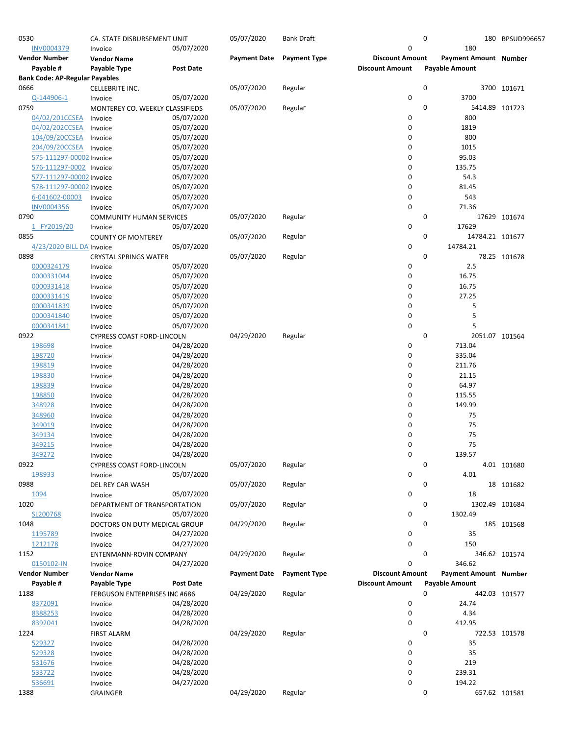| 0530                                  | CA. STATE DISBURSEMENT UNIT                  |                          | 05/07/2020          | <b>Bank Draft</b>   |                        | 0           |                       | 180 BPSUD996657 |
|---------------------------------------|----------------------------------------------|--------------------------|---------------------|---------------------|------------------------|-------------|-----------------------|-----------------|
| INV0004379                            | Invoice                                      | 05/07/2020               |                     |                     | $\pmb{0}$              |             | 180                   |                 |
| <b>Vendor Number</b>                  | <b>Vendor Name</b>                           |                          | <b>Payment Date</b> | <b>Payment Type</b> | <b>Discount Amount</b> |             | Payment Amount Number |                 |
| Payable #                             | Payable Type                                 | <b>Post Date</b>         |                     |                     | <b>Discount Amount</b> |             | <b>Payable Amount</b> |                 |
| <b>Bank Code: AP-Regular Payables</b> |                                              |                          |                     |                     |                        |             |                       |                 |
| 0666<br>Q-144906-1                    | CELLEBRITE INC.                              | 05/07/2020               | 05/07/2020          | Regular             | 0                      | 0           | 3700                  | 3700 101671     |
| 0759                                  | Invoice<br>MONTEREY CO. WEEKLY CLASSIFIEDS   |                          | 05/07/2020          | Regular             |                        | 0           | 5414.89 101723        |                 |
| 04/02/201CCSEA                        | Invoice                                      | 05/07/2020               |                     |                     | 0                      |             | 800                   |                 |
| 04/02/202CCSEA                        | Invoice                                      | 05/07/2020               |                     |                     | 0                      |             | 1819                  |                 |
| 104/09/20CCSEA                        | Invoice                                      | 05/07/2020               |                     |                     | 0                      |             | 800                   |                 |
| 204/09/20CCSEA                        | Invoice                                      | 05/07/2020               |                     |                     | $\mathbf 0$            |             | 1015                  |                 |
| 575-111297-00002 Invoice              |                                              | 05/07/2020               |                     |                     | $\mathbf 0$            |             | 95.03                 |                 |
| 576-111297-0002 Invoice               |                                              | 05/07/2020               |                     |                     | 0                      |             | 135.75                |                 |
| 577-111297-00002 Invoice              |                                              | 05/07/2020               |                     |                     | 0                      |             | 54.3                  |                 |
| 578-111297-00002 Invoice              |                                              | 05/07/2020               |                     |                     | 0                      |             | 81.45                 |                 |
| 6-041602-00003                        | Invoice                                      | 05/07/2020               |                     |                     | $\mathbf 0$            |             | 543                   |                 |
| <b>INV0004356</b>                     | Invoice                                      | 05/07/2020               |                     |                     | $\pmb{0}$              |             | 71.36                 |                 |
| 0790                                  | <b>COMMUNITY HUMAN SERVICES</b>              |                          | 05/07/2020          | Regular             |                        | 0           |                       | 17629 101674    |
| FY2019/20<br>1                        | Invoice                                      | 05/07/2020               |                     |                     | 0                      |             | 17629                 |                 |
| 0855                                  | <b>COUNTY OF MONTEREY</b>                    |                          | 05/07/2020          | Regular             |                        | 0           | 14784.21 101677       |                 |
| 4/23/2020 BILL DA Invoice             |                                              | 05/07/2020               |                     |                     | 0                      |             | 14784.21              |                 |
| 0898                                  | <b>CRYSTAL SPRINGS WATER</b>                 |                          | 05/07/2020          | Regular             |                        | 0           |                       | 78.25 101678    |
| 0000324179                            | Invoice                                      | 05/07/2020               |                     |                     | 0                      |             | 2.5                   |                 |
| 0000331044                            | Invoice                                      | 05/07/2020               |                     |                     | 0                      |             | 16.75                 |                 |
| 0000331418                            | Invoice                                      | 05/07/2020               |                     |                     | $\mathbf 0$            |             | 16.75                 |                 |
| 0000331419                            | Invoice                                      | 05/07/2020               |                     |                     | $\mathbf 0$            |             | 27.25                 |                 |
| 0000341839                            | Invoice                                      | 05/07/2020               |                     |                     | 0<br>$\pmb{0}$         |             | 5                     |                 |
| 0000341840<br>0000341841              | Invoice                                      | 05/07/2020<br>05/07/2020 |                     |                     | $\mathbf 0$            |             | 5<br>5                |                 |
| 0922                                  | Invoice<br><b>CYPRESS COAST FORD-LINCOLN</b> |                          | 04/29/2020          | Regular             |                        | 0           | 2051.07 101564        |                 |
| 198698                                | Invoice                                      | 04/28/2020               |                     |                     | 0                      |             | 713.04                |                 |
| 198720                                | Invoice                                      | 04/28/2020               |                     |                     | 0                      |             | 335.04                |                 |
| 198819                                | Invoice                                      | 04/28/2020               |                     |                     | 0                      |             | 211.76                |                 |
| 198830                                | Invoice                                      | 04/28/2020               |                     |                     | $\mathbf 0$            |             | 21.15                 |                 |
| 198839                                | Invoice                                      | 04/28/2020               |                     |                     | 0                      |             | 64.97                 |                 |
| 198850                                | Invoice                                      | 04/28/2020               |                     |                     | $\mathbf 0$            |             | 115.55                |                 |
| 348928                                | Invoice                                      | 04/28/2020               |                     |                     | 0                      |             | 149.99                |                 |
| 348960                                | Invoice                                      | 04/28/2020               |                     |                     | 0                      |             | 75                    |                 |
| 349019                                | Invoice                                      | 04/28/2020               |                     |                     | 0                      |             | 75                    |                 |
| 349134                                | Invoice                                      | 04/28/2020               |                     |                     | 0                      |             | 75                    |                 |
| 349215                                | Invoice                                      | 04/28/2020               |                     |                     | $\mathbf 0$            |             | 75                    |                 |
| 349272                                | Invoice                                      | 04/28/2020               |                     |                     | 0                      |             | 139.57                |                 |
| 0922                                  | <b>CYPRESS COAST FORD-LINCOLN</b>            |                          | 05/07/2020          | Regular             |                        | $\mathbf 0$ |                       | 4.01 101680     |
| 198933                                | Invoice                                      | 05/07/2020               |                     |                     | 0                      |             | 4.01                  |                 |
| 0988                                  | DEL REY CAR WASH                             |                          | 05/07/2020          | Regular             |                        | 0           |                       | 18 101682       |
| 1094                                  | Invoice                                      | 05/07/2020               |                     |                     | 0                      |             | 18                    |                 |
| 1020                                  | DEPARTMENT OF TRANSPORTATION                 |                          | 05/07/2020          | Regular             |                        | 0           | 1302.49 101684        |                 |
| SL200768                              | Invoice                                      | 05/07/2020               |                     |                     | 0                      |             | 1302.49               |                 |
| 1048                                  | DOCTORS ON DUTY MEDICAL GROUP                |                          | 04/29/2020          | Regular             |                        | 0           |                       | 185 101568      |
| 1195789                               | Invoice                                      | 04/27/2020               |                     |                     | 0<br>$\pmb{0}$         |             | 35                    |                 |
| 1212178<br>1152                       | Invoice                                      | 04/27/2020               | 04/29/2020          |                     |                        | 0           | 150                   |                 |
| 0150102-IN                            | ENTENMANN-ROVIN COMPANY<br>Invoice           | 04/27/2020               |                     | Regular             | $\mathbf 0$            |             | 346.62                | 346.62 101574   |
| <b>Vendor Number</b>                  | <b>Vendor Name</b>                           |                          | <b>Payment Date</b> | <b>Payment Type</b> | <b>Discount Amount</b> |             | Payment Amount Number |                 |
| Payable #                             | Payable Type                                 | <b>Post Date</b>         |                     |                     | <b>Discount Amount</b> |             | <b>Payable Amount</b> |                 |
| 1188                                  | FERGUSON ENTERPRISES INC #686                |                          | 04/29/2020          | Regular             |                        | 0           |                       | 442.03 101577   |
| 8372091                               | Invoice                                      | 04/28/2020               |                     |                     | 0                      |             | 24.74                 |                 |
| 8388253                               | Invoice                                      | 04/28/2020               |                     |                     | 0                      |             | 4.34                  |                 |
| 8392041                               | Invoice                                      | 04/28/2020               |                     |                     | 0                      |             | 412.95                |                 |
| 1224                                  | <b>FIRST ALARM</b>                           |                          | 04/29/2020          | Regular             |                        | 0           |                       | 722.53 101578   |
| 529327                                | Invoice                                      | 04/28/2020               |                     |                     | 0                      |             | 35                    |                 |
| 529328                                | Invoice                                      | 04/28/2020               |                     |                     | $\mathbf 0$            |             | 35                    |                 |
| 531676                                | Invoice                                      | 04/28/2020               |                     |                     | 0                      |             | 219                   |                 |
| 533722                                | Invoice                                      | 04/28/2020               |                     |                     | 0                      |             | 239.31                |                 |
| 536691                                | Invoice                                      | 04/27/2020               |                     |                     | $\mathbf 0$            |             | 194.22                |                 |
| 1388                                  | <b>GRAINGER</b>                              |                          | 04/29/2020          | Regular             |                        | 0           |                       | 657.62 101581   |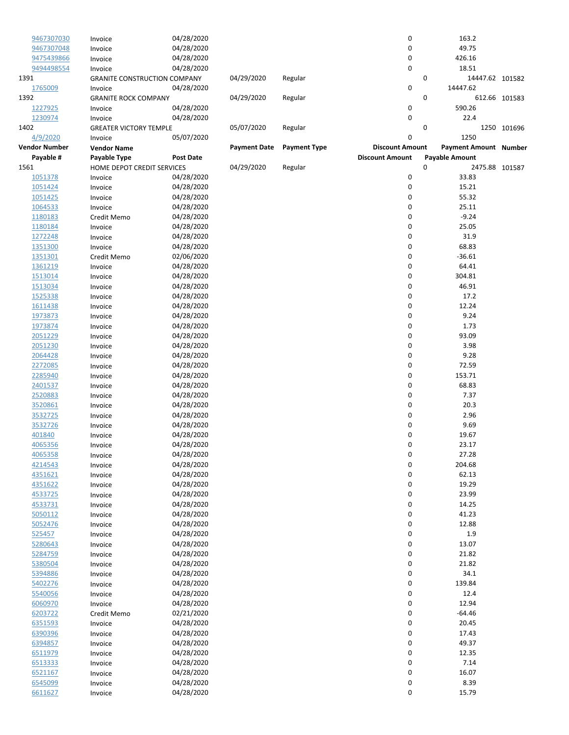| 9467307030           | Invoice                             | 04/28/2020       |                     |                     | 0                      | 163.2                        |               |
|----------------------|-------------------------------------|------------------|---------------------|---------------------|------------------------|------------------------------|---------------|
| 9467307048           | Invoice                             | 04/28/2020       |                     |                     | 0                      | 49.75                        |               |
| 9475439866           | Invoice                             | 04/28/2020       |                     |                     | 0                      | 426.16                       |               |
| 9494498554           | Invoice                             | 04/28/2020       |                     |                     | 0                      | 18.51                        |               |
| 1391                 | <b>GRANITE CONSTRUCTION COMPANY</b> |                  | 04/29/2020          | Regular             |                        | 0<br>14447.62 101582         |               |
| 1765009              | Invoice                             | 04/28/2020       |                     |                     | 0                      | 14447.62                     |               |
| 1392                 | <b>GRANITE ROCK COMPANY</b>         |                  | 04/29/2020          | Regular             |                        | 0                            | 612.66 101583 |
| 1227925              | Invoice                             | 04/28/2020       |                     |                     | 0                      | 590.26                       |               |
| 1230974              | Invoice                             | 04/28/2020       |                     |                     | 0                      | 22.4                         |               |
| 1402                 | <b>GREATER VICTORY TEMPLE</b>       |                  | 05/07/2020          | Regular             |                        | 0                            | 1250 101696   |
| 4/9/2020             | Invoice                             | 05/07/2020       |                     |                     | 0                      | 1250                         |               |
| <b>Vendor Number</b> | <b>Vendor Name</b>                  |                  | <b>Payment Date</b> | <b>Payment Type</b> | <b>Discount Amount</b> | <b>Payment Amount Number</b> |               |
| Payable #            | Payable Type                        | <b>Post Date</b> |                     |                     | <b>Discount Amount</b> | <b>Payable Amount</b>        |               |
| 1561                 | HOME DEPOT CREDIT SERVICES          |                  | 04/29/2020          | Regular             |                        | 0<br>2475.88 101587          |               |
| 1051378              | Invoice                             | 04/28/2020       |                     |                     | 0                      | 33.83                        |               |
| 1051424              | Invoice                             | 04/28/2020       |                     |                     | 0                      | 15.21                        |               |
| 1051425              | Invoice                             | 04/28/2020       |                     |                     | 0                      | 55.32                        |               |
| 1064533              | Invoice                             | 04/28/2020       |                     |                     | 0                      | 25.11                        |               |
| 1180183              |                                     | 04/28/2020       |                     |                     | 0                      | $-9.24$                      |               |
| 1180184              | Credit Memo                         | 04/28/2020       |                     |                     | 0                      | 25.05                        |               |
|                      | Invoice                             |                  |                     |                     |                        |                              |               |
| 1272248              | Invoice                             | 04/28/2020       |                     |                     | 0                      | 31.9                         |               |
| 1351300              | Invoice                             | 04/28/2020       |                     |                     | 0                      | 68.83                        |               |
| 1351301              | Credit Memo                         | 02/06/2020       |                     |                     | 0                      | $-36.61$                     |               |
| 1361219              | Invoice                             | 04/28/2020       |                     |                     | 0                      | 64.41                        |               |
| 1513014              | Invoice                             | 04/28/2020       |                     |                     | 0                      | 304.81                       |               |
| 1513034              | Invoice                             | 04/28/2020       |                     |                     | 0                      | 46.91                        |               |
| 1525338              | Invoice                             | 04/28/2020       |                     |                     | 0                      | 17.2                         |               |
| 1611438              | Invoice                             | 04/28/2020       |                     |                     | 0                      | 12.24                        |               |
| 1973873              | Invoice                             | 04/28/2020       |                     |                     | 0                      | 9.24                         |               |
| 1973874              | Invoice                             | 04/28/2020       |                     |                     | 0                      | 1.73                         |               |
| 2051229              | Invoice                             | 04/28/2020       |                     |                     | 0                      | 93.09                        |               |
| 2051230              | Invoice                             | 04/28/2020       |                     |                     | 0                      | 3.98                         |               |
| 2064428              | Invoice                             | 04/28/2020       |                     |                     | 0                      | 9.28                         |               |
| 2272085              | Invoice                             | 04/28/2020       |                     |                     | 0                      | 72.59                        |               |
| 2285940              | Invoice                             | 04/28/2020       |                     |                     | 0                      | 153.71                       |               |
| 2401537              | Invoice                             | 04/28/2020       |                     |                     | 0                      | 68.83                        |               |
| 2520883              | Invoice                             | 04/28/2020       |                     |                     | 0                      | 7.37                         |               |
| 3520861              | Invoice                             | 04/28/2020       |                     |                     | 0                      | 20.3                         |               |
|                      |                                     | 04/28/2020       |                     |                     | 0                      | 2.96                         |               |
| 3532725              | Invoice                             | 04/28/2020       |                     |                     | 0                      | 9.69                         |               |
| 3532726              | Invoice                             |                  |                     |                     |                        |                              |               |
| 401840               | Invoice                             | 04/28/2020       |                     |                     | 0                      | 19.67                        |               |
| 4065356              | Invoice                             | 04/28/2020       |                     |                     | 0                      | 23.17                        |               |
| 4065358              | Invoice                             | 04/28/2020       |                     |                     | 0                      | 27.28                        |               |
| 4214543              | Invoice                             | 04/28/2020       |                     |                     | 0                      | 204.68                       |               |
| 4351621              | Invoice                             | 04/28/2020       |                     |                     | 0                      | 62.13                        |               |
| 4351622              | Invoice                             | 04/28/2020       |                     |                     | 0                      | 19.29                        |               |
| 4533725              | Invoice                             | 04/28/2020       |                     |                     | $\pmb{0}$              | 23.99                        |               |
| 4533731              | Invoice                             | 04/28/2020       |                     |                     | 0                      | 14.25                        |               |
| 5050112              | Invoice                             | 04/28/2020       |                     |                     | 0                      | 41.23                        |               |
| 5052476              | Invoice                             | 04/28/2020       |                     |                     | 0                      | 12.88                        |               |
| 525457               | Invoice                             | 04/28/2020       |                     |                     | 0                      | 1.9                          |               |
| 5280643              | Invoice                             | 04/28/2020       |                     |                     | 0                      | 13.07                        |               |
| 5284759              | Invoice                             | 04/28/2020       |                     |                     | 0                      | 21.82                        |               |
| 5380504              | Invoice                             | 04/28/2020       |                     |                     | 0                      | 21.82                        |               |
| 5394886              | Invoice                             | 04/28/2020       |                     |                     | 0                      | 34.1                         |               |
| 5402276              | Invoice                             | 04/28/2020       |                     |                     | $\pmb{0}$              | 139.84                       |               |
| 5540056              | Invoice                             | 04/28/2020       |                     |                     | 0                      | 12.4                         |               |
| 6060970              | Invoice                             | 04/28/2020       |                     |                     | 0                      | 12.94                        |               |
| 6203722              | Credit Memo                         | 02/21/2020       |                     |                     | 0                      | $-64.46$                     |               |
| 6351593              |                                     | 04/28/2020       |                     |                     | 0                      | 20.45                        |               |
| 6390396              | Invoice                             | 04/28/2020       |                     |                     | 0                      | 17.43                        |               |
|                      | Invoice                             |                  |                     |                     |                        |                              |               |
| 6394857              | Invoice                             | 04/28/2020       |                     |                     | 0                      | 49.37                        |               |
| 6511979              | Invoice                             | 04/28/2020       |                     |                     | 0                      | 12.35                        |               |
| 6513333              | Invoice                             | 04/28/2020       |                     |                     | 0                      | 7.14                         |               |
| 6521167              | Invoice                             | 04/28/2020       |                     |                     | $\pmb{0}$              | 16.07                        |               |
| 6545099              | Invoice                             | 04/28/2020       |                     |                     | 0                      | 8.39                         |               |
| 6611627              | Invoice                             | 04/28/2020       |                     |                     | 0                      | 15.79                        |               |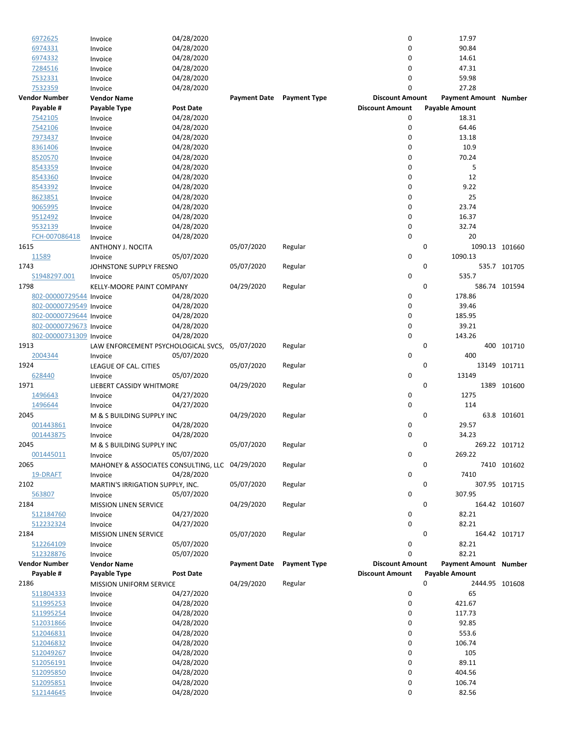|      | 6972625                 | Invoice                                         | 04/28/2020       |                     |                     | 0                      | 17.97                        |                |
|------|-------------------------|-------------------------------------------------|------------------|---------------------|---------------------|------------------------|------------------------------|----------------|
|      | 6974331                 | Invoice                                         | 04/28/2020       |                     |                     | 0                      | 90.84                        |                |
|      | 6974332                 | Invoice                                         | 04/28/2020       |                     |                     | 0                      | 14.61                        |                |
|      | 7284516                 | Invoice                                         | 04/28/2020       |                     |                     | 0                      | 47.31                        |                |
|      | 7532331                 | Invoice                                         | 04/28/2020       |                     |                     | 0                      | 59.98                        |                |
|      | 7532359                 | Invoice                                         | 04/28/2020       |                     |                     | 0                      | 27.28                        |                |
|      | <b>Vendor Number</b>    | <b>Vendor Name</b>                              |                  | <b>Payment Date</b> | <b>Payment Type</b> | <b>Discount Amount</b> | <b>Payment Amount Number</b> |                |
|      | Payable #               |                                                 | <b>Post Date</b> |                     |                     | <b>Discount Amount</b> | <b>Payable Amount</b>        |                |
|      |                         | Payable Type                                    |                  |                     |                     |                        |                              |                |
|      | 7542105                 | Invoice                                         | 04/28/2020       |                     |                     | 0                      | 18.31                        |                |
|      | 7542106                 | Invoice                                         | 04/28/2020       |                     |                     | 0                      | 64.46                        |                |
|      | 7973437                 | Invoice                                         | 04/28/2020       |                     |                     | 0                      | 13.18                        |                |
|      | 8361406                 | Invoice                                         | 04/28/2020       |                     |                     | 0                      | 10.9                         |                |
|      | 8520570                 | Invoice                                         | 04/28/2020       |                     |                     | 0                      | 70.24                        |                |
|      | 8543359                 | Invoice                                         | 04/28/2020       |                     |                     | 0                      | 5                            |                |
|      | 8543360                 | Invoice                                         | 04/28/2020       |                     |                     | 0                      | 12                           |                |
|      | 8543392                 | Invoice                                         | 04/28/2020       |                     |                     | 0                      | 9.22                         |                |
|      | 8623851                 | Invoice                                         | 04/28/2020       |                     |                     | 0                      | 25                           |                |
|      | 9065995                 | Invoice                                         | 04/28/2020       |                     |                     | 0                      | 23.74                        |                |
|      | 9512492                 |                                                 | 04/28/2020       |                     |                     | 0                      | 16.37                        |                |
|      |                         | Invoice                                         |                  |                     |                     | 0                      |                              |                |
|      | 9532139                 | Invoice                                         | 04/28/2020       |                     |                     |                        | 32.74                        |                |
|      | FCH-007086418           | Invoice                                         | 04/28/2020       |                     |                     | 0                      | 20                           |                |
| 1615 |                         | ANTHONY J. NOCITA                               |                  | 05/07/2020          | Regular             |                        | 0                            | 1090.13 101660 |
|      | 11589                   | Invoice                                         | 05/07/2020       |                     |                     | 0                      | 1090.13                      |                |
| 1743 |                         | JOHNSTONE SUPPLY FRESNO                         |                  | 05/07/2020          | Regular             |                        | 0                            | 535.7 101705   |
|      | S1948297.001            | Invoice                                         | 05/07/2020       |                     |                     | 0                      | 535.7                        |                |
| 1798 |                         | KELLY-MOORE PAINT COMPANY                       |                  | 04/29/2020          | Regular             |                        | 0                            | 586.74 101594  |
|      | 802-00000729544 Invoice |                                                 | 04/28/2020       |                     |                     | 0                      | 178.86                       |                |
|      | 802-00000729549 Invoice |                                                 | 04/28/2020       |                     |                     | 0                      | 39.46                        |                |
|      | 802-00000729644 Invoice |                                                 | 04/28/2020       |                     |                     | 0                      | 185.95                       |                |
|      | 802-00000729673 Invoice |                                                 | 04/28/2020       |                     |                     | 0                      | 39.21                        |                |
|      |                         |                                                 |                  |                     |                     | $\mathbf 0$            | 143.26                       |                |
|      | 802-00000731309 Invoice |                                                 | 04/28/2020       |                     |                     |                        |                              |                |
| 1913 |                         | LAW ENFORCEMENT PSYCHOLOGICAL SVCS,             |                  | 05/07/2020          | Regular             |                        | 0<br>400                     | 101710         |
|      | 2004344                 | Invoice                                         | 05/07/2020       |                     |                     | 0                      | 400                          |                |
| 1924 |                         | LEAGUE OF CAL. CITIES                           |                  | 05/07/2020          | Regular             |                        | 0                            | 13149 101711   |
|      | 628440                  | Invoice                                         | 05/07/2020       |                     |                     | 0                      | 13149                        |                |
| 1971 |                         | LIEBERT CASSIDY WHITMORE                        |                  | 04/29/2020          | Regular             |                        | 0                            | 1389 101600    |
|      | 1496643                 | Invoice                                         | 04/27/2020       |                     |                     | 0                      | 1275                         |                |
|      | 1496644                 | Invoice                                         | 04/27/2020       |                     |                     | 0                      | 114                          |                |
| 2045 |                         | M & S BUILDING SUPPLY INC                       |                  | 04/29/2020          | Regular             |                        | 0                            | 63.8 101601    |
|      | 001443861               | Invoice                                         | 04/28/2020       |                     |                     | 0                      | 29.57                        |                |
|      | 001443875               | Invoice                                         | 04/28/2020       |                     |                     | $\mathbf 0$            | 34.23                        |                |
| 2045 |                         | M & S BUILDING SUPPLY INC                       |                  | 05/07/2020          | Regular             |                        | 0                            | 269.22 101712  |
|      | 001445011               |                                                 |                  |                     |                     |                        | 269.22                       |                |
|      |                         | Invoice                                         | 05/07/2020       |                     |                     | 0                      |                              |                |
| 2065 |                         | MAHONEY & ASSOCIATES CONSULTING, LLC 04/29/2020 |                  |                     | Regular             |                        | 0                            | 7410 101602    |
|      | 19-DRAFT                | Invoice                                         | 04/28/2020       |                     |                     | 0                      | 7410                         |                |
| 2102 |                         | MARTIN'S IRRIGATION SUPPLY, INC.                |                  | 05/07/2020          | Regular             |                        | 0                            | 307.95 101715  |
|      | 563807                  | Invoice                                         | 05/07/2020       |                     |                     | 0                      | 307.95                       |                |
| 2184 |                         | MISSION LINEN SERVICE                           |                  | 04/29/2020          | Regular             |                        | 0                            | 164.42 101607  |
|      | 512184760               | Invoice                                         | 04/27/2020       |                     |                     | 0                      | 82.21                        |                |
|      | 512232324               | Invoice                                         | 04/27/2020       |                     |                     | 0                      | 82.21                        |                |
| 2184 |                         | <b>MISSION LINEN SERVICE</b>                    |                  | 05/07/2020          | Regular             |                        | 0                            | 164.42 101717  |
|      | 512264109               | Invoice                                         | 05/07/2020       |                     |                     | 0                      | 82.21                        |                |
|      | 512328876               | Invoice                                         | 05/07/2020       |                     |                     | 0                      | 82.21                        |                |
|      |                         | <b>Vendor Name</b>                              |                  |                     |                     | <b>Discount Amount</b> |                              |                |
|      | Vendor Number           |                                                 |                  | <b>Payment Date</b> | <b>Payment Type</b> |                        | <b>Payment Amount Number</b> |                |
|      | Payable #               | Payable Type                                    | <b>Post Date</b> |                     |                     | <b>Discount Amount</b> | Payable Amount               |                |
| 2186 |                         | <b>MISSION UNIFORM SERVICE</b>                  |                  | 04/29/2020          | Regular             |                        | 0                            | 2444.95 101608 |
|      | 511804333               | Invoice                                         | 04/27/2020       |                     |                     | 0                      | 65                           |                |
|      | 511995253               | Invoice                                         | 04/28/2020       |                     |                     | 0                      | 421.67                       |                |
|      | 511995254               | Invoice                                         | 04/28/2020       |                     |                     | 0                      | 117.73                       |                |
|      | 512031866               | Invoice                                         | 04/28/2020       |                     |                     | 0                      | 92.85                        |                |
|      | 512046831               | Invoice                                         | 04/28/2020       |                     |                     | 0                      | 553.6                        |                |
|      | 512046832               | Invoice                                         | 04/28/2020       |                     |                     | 0                      | 106.74                       |                |
|      | 512049267               | Invoice                                         | 04/28/2020       |                     |                     | 0                      | 105                          |                |
|      |                         |                                                 |                  |                     |                     | 0                      | 89.11                        |                |
|      | 512056191               | Invoice                                         | 04/28/2020       |                     |                     |                        |                              |                |
|      | 512095850               | Invoice                                         | 04/28/2020       |                     |                     | 0                      | 404.56                       |                |
|      | 512095851               | Invoice                                         | 04/28/2020       |                     |                     | 0                      | 106.74                       |                |
|      | 512144645               | Invoice                                         | 04/28/2020       |                     |                     | 0                      | 82.56                        |                |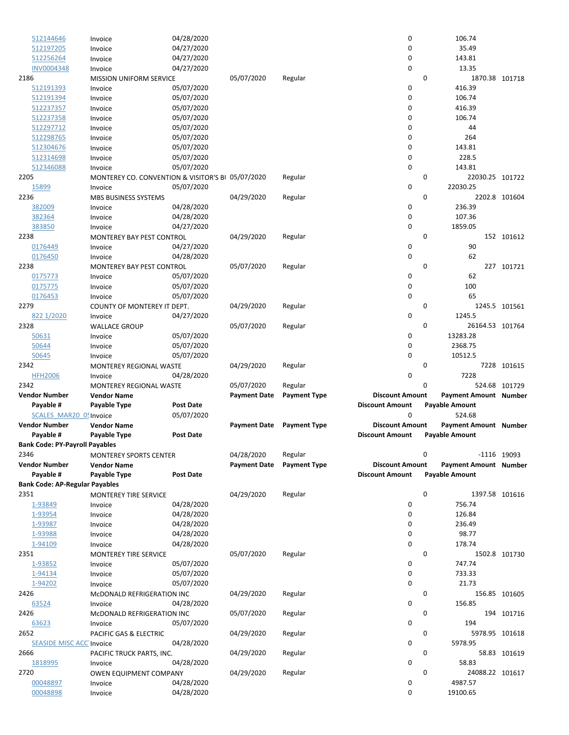| 512144646                             | Invoice                                           | 04/28/2020       |                     |                     | 0                      |          | 106.74                       |               |
|---------------------------------------|---------------------------------------------------|------------------|---------------------|---------------------|------------------------|----------|------------------------------|---------------|
| 512197205                             | Invoice                                           | 04/27/2020       |                     |                     | 0                      |          | 35.49                        |               |
| 512256264                             | Invoice                                           | 04/27/2020       |                     |                     | 0                      |          | 143.81                       |               |
| <b>INV0004348</b>                     | Invoice                                           | 04/27/2020       |                     |                     | 0                      |          | 13.35                        |               |
| 2186                                  | <b>MISSION UNIFORM SERVICE</b>                    |                  | 05/07/2020          | Regular             |                        | 0        | 1870.38 101718               |               |
| 512191393                             | Invoice                                           | 05/07/2020       |                     |                     | 0                      |          | 416.39                       |               |
| 512191394                             | Invoice                                           | 05/07/2020       |                     |                     | 0                      |          | 106.74                       |               |
| 512237357                             | Invoice                                           | 05/07/2020       |                     |                     | 0                      |          | 416.39                       |               |
| 512237358                             | Invoice                                           | 05/07/2020       |                     |                     | 0                      |          | 106.74                       |               |
|                                       |                                                   | 05/07/2020       |                     |                     | 0                      |          | 44                           |               |
| 512297712                             | Invoice                                           |                  |                     |                     | 0                      |          |                              |               |
| 512298765                             | Invoice                                           | 05/07/2020       |                     |                     |                        |          | 264                          |               |
| 512304676                             | Invoice                                           | 05/07/2020       |                     |                     | 0                      |          | 143.81                       |               |
| 512314698                             | Invoice                                           | 05/07/2020       |                     |                     | 0                      |          | 228.5                        |               |
| 512346088                             | Invoice                                           | 05/07/2020       |                     |                     | 0                      |          | 143.81                       |               |
| 2205                                  | MONTEREY CO. CONVENTION & VISITOR'S BI 05/07/2020 |                  |                     | Regular             |                        | 0        | 22030.25 101722              |               |
| 15899                                 | Invoice                                           | 05/07/2020       |                     |                     | 0                      |          | 22030.25                     |               |
| 2236                                  | MBS BUSINESS SYSTEMS                              |                  | 04/29/2020          | Regular             |                        | 0        |                              | 2202.8 101604 |
| 382009                                | Invoice                                           | 04/28/2020       |                     |                     | 0                      |          | 236.39                       |               |
| 382364                                | Invoice                                           | 04/28/2020       |                     |                     | 0                      |          | 107.36                       |               |
| 383850                                | Invoice                                           | 04/27/2020       |                     |                     | $\mathbf 0$            |          | 1859.05                      |               |
| 2238                                  | <b>MONTEREY BAY PEST CONTROL</b>                  |                  | 04/29/2020          | Regular             |                        | 0        |                              | 152 101612    |
| 0176449                               | Invoice                                           | 04/27/2020       |                     |                     | 0                      |          | 90                           |               |
| 0176450                               | Invoice                                           | 04/28/2020       |                     |                     | $\mathbf 0$            |          | 62                           |               |
| 2238                                  | MONTEREY BAY PEST CONTROL                         |                  | 05/07/2020          | Regular             |                        | $\Omega$ |                              | 227 101721    |
| 0175773                               |                                                   |                  |                     |                     | 0                      |          | 62                           |               |
|                                       | Invoice                                           | 05/07/2020       |                     |                     |                        |          |                              |               |
| 0175775                               | Invoice                                           | 05/07/2020       |                     |                     | 0                      |          | 100                          |               |
| 0176453                               | Invoice                                           | 05/07/2020       |                     |                     | 0                      |          | 65                           |               |
| 2279                                  | COUNTY OF MONTEREY IT DEPT.                       |                  | 04/29/2020          | Regular             |                        | 0        |                              | 1245.5 101561 |
| 822 1/2020                            | Invoice                                           | 04/27/2020       |                     |                     | $\mathbf 0$            |          | 1245.5                       |               |
| 2328                                  | <b>WALLACE GROUP</b>                              |                  | 05/07/2020          | Regular             |                        | 0        | 26164.53 101764              |               |
| 50631                                 | Invoice                                           | 05/07/2020       |                     |                     | 0                      |          | 13283.28                     |               |
| 50644                                 | Invoice                                           | 05/07/2020       |                     |                     | 0                      |          | 2368.75                      |               |
| 50645                                 | Invoice                                           | 05/07/2020       |                     |                     | 0                      |          | 10512.5                      |               |
|                                       |                                                   |                  |                     |                     |                        |          |                              |               |
| 2342                                  |                                                   |                  |                     |                     |                        | 0        |                              |               |
|                                       | MONTEREY REGIONAL WASTE                           |                  | 04/29/2020          | Regular             |                        |          |                              | 7228 101615   |
| <b>HFH2006</b>                        | Invoice                                           | 04/28/2020       |                     |                     | 0                      |          | 7228                         |               |
| 2342                                  | MONTEREY REGIONAL WASTE                           |                  | 05/07/2020          | Regular             |                        | 0        |                              | 524.68 101729 |
| <b>Vendor Number</b>                  | <b>Vendor Name</b>                                |                  | <b>Payment Date</b> | <b>Payment Type</b> | <b>Discount Amount</b> |          | <b>Payment Amount Number</b> |               |
| Payable #                             | Payable Type                                      | <b>Post Date</b> |                     |                     | <b>Discount Amount</b> |          | <b>Payable Amount</b>        |               |
| SCALES MAR20 05 Invoice               |                                                   | 05/07/2020       |                     |                     | 0                      |          | 524.68                       |               |
| <b>Vendor Number</b>                  | <b>Vendor Name</b>                                |                  | <b>Payment Date</b> | <b>Payment Type</b> | <b>Discount Amount</b> |          | Payment Amount Number        |               |
| Payable #                             | Payable Type                                      | <b>Post Date</b> |                     |                     | <b>Discount Amount</b> |          | <b>Payable Amount</b>        |               |
| <b>Bank Code: PY-Payroll Payables</b> |                                                   |                  |                     |                     |                        |          |                              |               |
| 2346                                  | MONTEREY SPORTS CENTER                            |                  | 04/28/2020          | Regular             |                        | 0        |                              | -1116 19093   |
| <b>Vendor Number</b>                  | <b>Vendor Name</b>                                |                  | <b>Payment Date</b> | <b>Payment Type</b> | <b>Discount Amount</b> |          | Payment Amount Number        |               |
| Payable #                             | Payable Type                                      | <b>Post Date</b> |                     |                     | <b>Discount Amount</b> |          | <b>Payable Amount</b>        |               |
| <b>Bank Code: AP-Regular Payables</b> |                                                   |                  |                     |                     |                        |          |                              |               |
| 2351                                  | MONTEREY TIRE SERVICE                             |                  | 04/29/2020          | Regular             |                        | 0        | 1397.58 101616               |               |
| 1-93849                               | Invoice                                           | 04/28/2020       |                     |                     | 0                      |          | 756.74                       |               |
| 1-93954                               | Invoice                                           | 04/28/2020       |                     |                     | 0                      |          | 126.84                       |               |
| 1-93987                               | Invoice                                           | 04/28/2020       |                     |                     | 0                      |          | 236.49                       |               |
|                                       |                                                   |                  |                     |                     |                        |          |                              |               |
| 1-93988                               | Invoice                                           | 04/28/2020       |                     |                     | 0                      |          | 98.77                        |               |
| 1-94109                               | Invoice                                           | 04/28/2020       |                     |                     | 0                      |          | 178.74                       |               |
| 2351                                  | MONTEREY TIRE SERVICE                             |                  | 05/07/2020          | Regular             |                        | 0        |                              | 1502.8 101730 |
| 1-93852                               | Invoice                                           | 05/07/2020       |                     |                     | 0                      |          | 747.74                       |               |
| 1-94134                               | Invoice                                           | 05/07/2020       |                     |                     | 0                      |          | 733.33                       |               |
| 1-94202                               | Invoice                                           | 05/07/2020       |                     |                     | 0                      |          | 21.73                        |               |
| 2426                                  | McDONALD REFRIGERATION INC                        |                  | 04/29/2020          | Regular             |                        | 0        |                              | 156.85 101605 |
| 63524                                 | Invoice                                           | 04/28/2020       |                     |                     | 0                      |          | 156.85                       |               |
| 2426                                  | McDONALD REFRIGERATION INC                        |                  | 05/07/2020          | Regular             |                        | 0        |                              | 194 101716    |
| 63623                                 | Invoice                                           | 05/07/2020       |                     |                     | 0                      |          | 194                          |               |
| 2652                                  | PACIFIC GAS & ELECTRIC                            |                  | 04/29/2020          | Regular             |                        | 0        | 5978.95 101618               |               |
| <b>SEASIDE MISC ACC Invoice</b>       |                                                   | 04/28/2020       |                     |                     | 0                      |          | 5978.95                      |               |
| 2666                                  | PACIFIC TRUCK PARTS, INC.                         |                  | 04/29/2020          | Regular             |                        | 0        |                              | 58.83 101619  |
| 1818995                               | Invoice                                           | 04/28/2020       |                     |                     | 0                      |          | 58.83                        |               |
| 2720                                  | OWEN EQUIPMENT COMPANY                            |                  | 04/29/2020          | Regular             |                        | 0        | 24088.22 101617              |               |
| 00048897                              | Invoice                                           | 04/28/2020       |                     |                     | 0                      |          | 4987.57                      |               |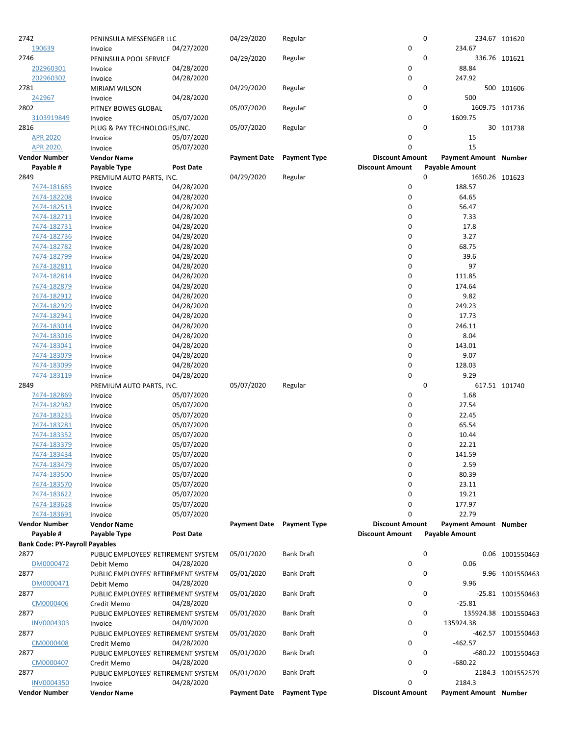| 2742                                  | PENINSULA MESSENGER LLC                            |                          | 04/29/2020          | Regular             |                                                  | 0                     |                                    | 234.67 101620        |
|---------------------------------------|----------------------------------------------------|--------------------------|---------------------|---------------------|--------------------------------------------------|-----------------------|------------------------------------|----------------------|
| 190639                                | Invoice                                            | 04/27/2020               |                     |                     | $\mathbf 0$                                      |                       | 234.67                             |                      |
| 2746                                  | PENINSULA POOL SERVICE                             | 04/28/2020               | 04/29/2020          | Regular             |                                                  | 0                     |                                    | 336.76 101621        |
| 202960301<br>202960302                | Invoice<br>Invoice                                 | 04/28/2020               |                     |                     | 0<br>$\mathbf 0$                                 |                       | 88.84<br>247.92                    |                      |
| 2781                                  | MIRIAM WILSON                                      |                          | 04/29/2020          | Regular             |                                                  | 0                     |                                    | 500 101606           |
| 242967                                | Invoice                                            | 04/28/2020               |                     |                     | 0                                                |                       | 500                                |                      |
| 2802                                  | PITNEY BOWES GLOBAL                                |                          | 05/07/2020          | Regular             |                                                  | 0                     | 1609.75 101736                     |                      |
| 3103919849                            | Invoice                                            | 05/07/2020               |                     |                     | 0                                                |                       | 1609.75                            |                      |
| 2816                                  | PLUG & PAY TECHNOLOGIES, INC.                      |                          | 05/07/2020          | Regular             |                                                  | 0                     |                                    | 30 101738            |
| <b>APR 2020</b>                       | Invoice                                            | 05/07/2020               |                     |                     | 0                                                |                       | 15                                 |                      |
| APR 2020.                             | Invoice                                            | 05/07/2020               |                     |                     | 0                                                |                       | 15<br><b>Payment Amount Number</b> |                      |
| <b>Vendor Number</b><br>Payable #     | <b>Vendor Name</b><br>Payable Type                 | <b>Post Date</b>         | <b>Payment Date</b> | <b>Payment Type</b> | <b>Discount Amount</b><br><b>Discount Amount</b> | <b>Payable Amount</b> |                                    |                      |
| 2849                                  | PREMIUM AUTO PARTS, INC.                           |                          | 04/29/2020          | Regular             |                                                  | 0                     | 1650.26 101623                     |                      |
| 7474-181685                           | Invoice                                            | 04/28/2020               |                     |                     | 0                                                |                       | 188.57                             |                      |
| 7474-182208                           | Invoice                                            | 04/28/2020               |                     |                     | 0                                                |                       | 64.65                              |                      |
| 7474-182513                           | Invoice                                            | 04/28/2020               |                     |                     | $\mathbf 0$                                      |                       | 56.47                              |                      |
| <u>7474-182711</u>                    | Invoice                                            | 04/28/2020               |                     |                     | 0                                                |                       | 7.33                               |                      |
| 7474-182731                           | Invoice                                            | 04/28/2020               |                     |                     | 0                                                |                       | 17.8                               |                      |
| 7474-182736                           | Invoice                                            | 04/28/2020               |                     |                     | 0                                                |                       | 3.27                               |                      |
| 7474-182782                           | Invoice                                            | 04/28/2020               |                     |                     | 0                                                |                       | 68.75                              |                      |
| 7474-182799<br>7474-182811            | Invoice<br>Invoice                                 | 04/28/2020<br>04/28/2020 |                     |                     | 0<br>0                                           |                       | 39.6<br>97                         |                      |
| 7474-182814                           | Invoice                                            | 04/28/2020               |                     |                     | 0                                                |                       | 111.85                             |                      |
| 7474-182879                           | Invoice                                            | 04/28/2020               |                     |                     | 0                                                |                       | 174.64                             |                      |
| 7474-182912                           | Invoice                                            | 04/28/2020               |                     |                     | $\mathbf 0$                                      |                       | 9.82                               |                      |
| 7474-182929                           | Invoice                                            | 04/28/2020               |                     |                     | 0                                                |                       | 249.23                             |                      |
| 7474-182941                           | Invoice                                            | 04/28/2020               |                     |                     | 0                                                |                       | 17.73                              |                      |
| 7474-183014                           | Invoice                                            | 04/28/2020               |                     |                     | 0                                                |                       | 246.11                             |                      |
| 7474-183016                           | Invoice                                            | 04/28/2020               |                     |                     | 0                                                |                       | 8.04                               |                      |
| 7474-183041                           | Invoice                                            | 04/28/2020               |                     |                     | 0                                                |                       | 143.01                             |                      |
| 7474-183079                           | Invoice                                            | 04/28/2020               |                     |                     | 0                                                |                       | 9.07                               |                      |
| 7474-183099                           | Invoice                                            | 04/28/2020               |                     |                     | 0                                                |                       | 128.03                             |                      |
| 7474-183119<br>2849                   | Invoice                                            | 04/28/2020               | 05/07/2020          | Regular             | 0                                                | 0                     | 9.29                               | 617.51 101740        |
| 7474-182869                           | PREMIUM AUTO PARTS, INC.<br>Invoice                | 05/07/2020               |                     |                     | 0                                                |                       | 1.68                               |                      |
| 7474-182982                           | Invoice                                            | 05/07/2020               |                     |                     | 0                                                |                       | 27.54                              |                      |
| 7474-183235                           | Invoice                                            | 05/07/2020               |                     |                     | 0                                                |                       | 22.45                              |                      |
| 7474-183281                           | Invoice                                            | 05/07/2020               |                     |                     | 0                                                |                       | 65.54                              |                      |
| 7474-183352                           | Invoice                                            | 05/07/2020               |                     |                     | 0                                                |                       | 10.44                              |                      |
| 7474-183379                           | Invoice                                            | 05/07/2020               |                     |                     | 0                                                |                       | 22.21                              |                      |
| 7474-183434                           | Invoice                                            | 05/07/2020               |                     |                     | 0                                                |                       | 141.59                             |                      |
| 7474-183479                           | Invoice                                            | 05/07/2020               |                     |                     | 0                                                |                       | 2.59                               |                      |
| 7474-183500                           | Invoice                                            | 05/07/2020               |                     |                     | $\mathbf 0$                                      |                       | 80.39                              |                      |
| 7474-183570                           | Invoice                                            | 05/07/2020               |                     |                     | 0                                                |                       | 23.11                              |                      |
| 7474-183622<br>7474-183628            | Invoice<br>Invoice                                 | 05/07/2020<br>05/07/2020 |                     |                     | $\mathbf 0$<br>0                                 |                       | 19.21<br>177.97                    |                      |
| 7474-183691                           | Invoice                                            | 05/07/2020               |                     |                     | 0                                                |                       | 22.79                              |                      |
| <b>Vendor Number</b>                  | <b>Vendor Name</b>                                 |                          | <b>Payment Date</b> | <b>Payment Type</b> | <b>Discount Amount</b>                           |                       | Payment Amount Number              |                      |
| Payable #                             | Payable Type                                       | <b>Post Date</b>         |                     |                     | <b>Discount Amount</b>                           | <b>Payable Amount</b> |                                    |                      |
| <b>Bank Code: PY-Payroll Payables</b> |                                                    |                          |                     |                     |                                                  |                       |                                    |                      |
| 2877                                  | PUBLIC EMPLOYEES' RETIREMENT SYSTEM                |                          | 05/01/2020          | <b>Bank Draft</b>   |                                                  | 0                     |                                    | 0.06 1001550463      |
| DM0000472                             | Debit Memo                                         | 04/28/2020               |                     |                     | $\mathbf 0$                                      |                       | 0.06                               |                      |
| 2877                                  | PUBLIC EMPLOYEES' RETIREMENT SYSTEM                |                          | 05/01/2020          | <b>Bank Draft</b>   |                                                  | 0                     |                                    | 9.96 1001550463      |
| DM0000471                             | Debit Memo                                         | 04/28/2020               |                     |                     | 0                                                |                       | 9.96                               |                      |
| 2877                                  | PUBLIC EMPLOYEES' RETIREMENT SYSTEM                |                          | 05/01/2020          | <b>Bank Draft</b>   |                                                  | 0                     |                                    | -25.81 1001550463    |
| CM0000406<br>2877                     | Credit Memo<br>PUBLIC EMPLOYEES' RETIREMENT SYSTEM | 04/28/2020               | 05/01/2020          | <b>Bank Draft</b>   | 0                                                | 0                     | $-25.81$                           | 135924.38 1001550463 |
| INV0004303                            | Invoice                                            | 04/09/2020               |                     |                     | 0                                                |                       | 135924.38                          |                      |
| 2877                                  | PUBLIC EMPLOYEES' RETIREMENT SYSTEM                |                          | 05/01/2020          | <b>Bank Draft</b>   |                                                  | 0                     |                                    | -462.57 1001550463   |
| CM0000408                             | Credit Memo                                        | 04/28/2020               |                     |                     | 0                                                |                       | $-462.57$                          |                      |
| 2877                                  | PUBLIC EMPLOYEES' RETIREMENT SYSTEM                |                          | 05/01/2020          | <b>Bank Draft</b>   |                                                  | 0                     |                                    | -680.22 1001550463   |
| CM0000407                             | Credit Memo                                        | 04/28/2020               |                     |                     | 0                                                |                       | $-680.22$                          |                      |
| 2877                                  | PUBLIC EMPLOYEES' RETIREMENT SYSTEM                |                          | 05/01/2020          | <b>Bank Draft</b>   |                                                  | 0                     |                                    | 2184.3 1001552579    |
| <b>INV0004350</b>                     | Invoice                                            | 04/28/2020               |                     |                     | 0                                                |                       | 2184.3                             |                      |
| <b>Vendor Number</b>                  | <b>Vendor Name</b>                                 |                          | <b>Payment Date</b> | <b>Payment Type</b> | <b>Discount Amount</b>                           |                       | Payment Amount Number              |                      |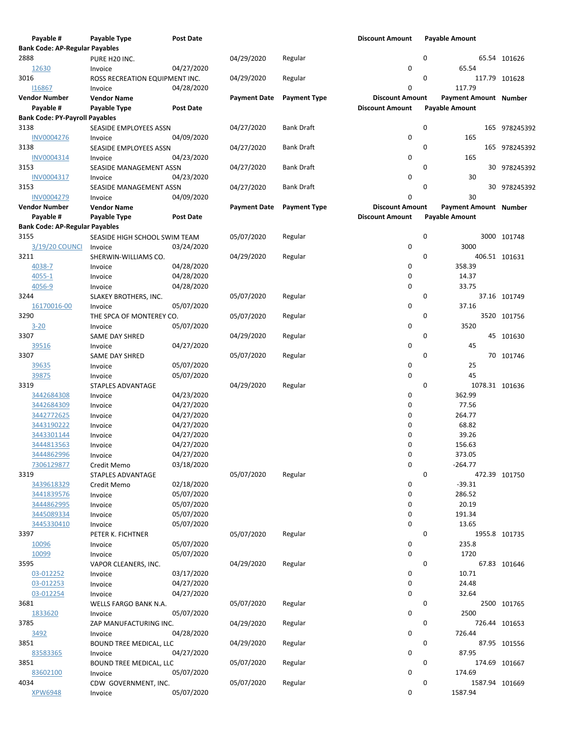| Payable #                             | Payable Type                   | <b>Post Date</b> |                     |                     | <b>Discount Amount</b> | <b>Payable Amount</b> |                |
|---------------------------------------|--------------------------------|------------------|---------------------|---------------------|------------------------|-----------------------|----------------|
| <b>Bank Code: AP-Regular Payables</b> |                                |                  |                     |                     |                        |                       |                |
| 2888                                  | PURE H20 INC.                  |                  | 04/29/2020          | Regular             |                        | 0                     | 65.54 101626   |
| 12630                                 | Invoice                        | 04/27/2020       |                     |                     | 0                      | 65.54                 |                |
| 3016                                  | ROSS RECREATION EQUIPMENT INC. |                  | 04/29/2020          | Regular             |                        | 0                     | 117.79 101628  |
| 116867                                | Invoice                        | 04/28/2020       |                     |                     | 0                      | 117.79                |                |
| <b>Vendor Number</b>                  | <b>Vendor Name</b>             |                  | <b>Payment Date</b> | <b>Payment Type</b> | <b>Discount Amount</b> | Payment Amount Number |                |
| Payable #                             | Payable Type                   | <b>Post Date</b> |                     |                     | <b>Discount Amount</b> | <b>Payable Amount</b> |                |
| <b>Bank Code: PY-Payroll Payables</b> |                                |                  |                     |                     |                        |                       |                |
| 3138                                  | SEASIDE EMPLOYEES ASSN         |                  | 04/27/2020          | Bank Draft          |                        | 0                     | 165 978245392  |
| <b>INV0004276</b>                     | Invoice                        | 04/09/2020       |                     |                     | 0                      | 165                   |                |
| 3138                                  | SEASIDE EMPLOYEES ASSN         |                  | 04/27/2020          | <b>Bank Draft</b>   |                        | 0                     |                |
|                                       |                                | 04/23/2020       |                     |                     | 0                      | 165                   | 165 978245392  |
| INV0004314                            | Invoice                        |                  |                     |                     |                        |                       |                |
| 3153                                  | SEASIDE MANAGEMENT ASSN        |                  | 04/27/2020          | <b>Bank Draft</b>   |                        | 0                     | 30 978245392   |
| INV0004317                            | Invoice                        | 04/23/2020       |                     |                     | $\mathbf 0$            | 30                    |                |
| 3153                                  | SEASIDE MANAGEMENT ASSN        |                  | 04/27/2020          | <b>Bank Draft</b>   |                        | 0                     | 30 978245392   |
| <b>INV0004279</b>                     | Invoice                        | 04/09/2020       |                     |                     | 0                      | 30                    |                |
| <b>Vendor Number</b>                  | <b>Vendor Name</b>             |                  | <b>Payment Date</b> | <b>Payment Type</b> | <b>Discount Amount</b> | Payment Amount Number |                |
| Payable #                             | Payable Type                   | <b>Post Date</b> |                     |                     | <b>Discount Amount</b> | <b>Payable Amount</b> |                |
| <b>Bank Code: AP-Regular Payables</b> |                                |                  |                     |                     |                        |                       |                |
| 3155                                  | SEASIDE HIGH SCHOOL SWIM TEAM  |                  | 05/07/2020          | Regular             |                        | 0                     | 3000 101748    |
| 3/19/20 COUNCI                        | Invoice                        | 03/24/2020       |                     |                     | 0                      | 3000                  |                |
| 3211                                  | SHERWIN-WILLIAMS CO.           |                  | 04/29/2020          | Regular             |                        | 0                     | 406.51 101631  |
| 4038-7                                | Invoice                        | 04/28/2020       |                     |                     | 0                      | 358.39                |                |
| 4055-1                                | Invoice                        | 04/28/2020       |                     |                     | 0                      | 14.37                 |                |
| 4056-9                                | Invoice                        | 04/28/2020       |                     |                     | $\mathbf 0$            | 33.75                 |                |
| 3244                                  | SLAKEY BROTHERS, INC.          |                  | 05/07/2020          | Regular             |                        | 0                     | 37.16 101749   |
| 16170016-00                           | Invoice                        | 05/07/2020       |                     |                     | 0                      | 37.16                 |                |
| 3290                                  | THE SPCA OF MONTEREY CO.       |                  | 05/07/2020          | Regular             |                        | 0                     | 3520 101756    |
| $3 - 20$                              | Invoice                        | 05/07/2020       |                     |                     | 0                      | 3520                  |                |
| 3307                                  | SAME DAY SHRED                 |                  | 04/29/2020          | Regular             |                        | 0                     | 45 101630      |
| 39516                                 | Invoice                        | 04/27/2020       |                     |                     | $\mathbf 0$            | 45                    |                |
| 3307                                  | SAME DAY SHRED                 |                  | 05/07/2020          | Regular             |                        | 0                     | 70 101746      |
| <u>39635</u>                          | Invoice                        | 05/07/2020       |                     |                     | 0                      | 25                    |                |
| 39875                                 | Invoice                        | 05/07/2020       |                     |                     | 0                      | 45                    |                |
| 3319                                  |                                |                  | 04/29/2020          | Regular             |                        | 0                     | 1078.31 101636 |
| 3442684308                            | STAPLES ADVANTAGE              | 04/23/2020       |                     |                     | 0                      | 362.99                |                |
|                                       | Invoice                        |                  |                     |                     | 0                      | 77.56                 |                |
| 3442684309                            | Invoice                        | 04/27/2020       |                     |                     |                        |                       |                |
| 3442772625                            | Invoice                        | 04/27/2020       |                     |                     | 0                      | 264.77                |                |
| 3443190222                            | Invoice                        | 04/27/2020       |                     |                     | 0                      | 68.82                 |                |
| 3443301144                            | Invoice                        | 04/27/2020       |                     |                     | 0                      | 39.26                 |                |
| 3444813563                            | Invoice                        | 04/27/2020       |                     |                     | 0                      | 156.63                |                |
| 3444862996                            | Invoice                        | 04/27/2020       |                     |                     | 0                      | 373.05                |                |
| 7306129877                            | Credit Memo                    | 03/18/2020       |                     |                     | $\mathbf 0$            | $-264.77$             |                |
| 3319                                  | STAPLES ADVANTAGE              |                  | 05/07/2020          | Regular             |                        | 0                     | 472.39 101750  |
| 3439618329                            | Credit Memo                    | 02/18/2020       |                     |                     | 0                      | $-39.31$              |                |
| 3441839576                            | Invoice                        | 05/07/2020       |                     |                     | 0                      | 286.52                |                |
| 3444862995                            | Invoice                        | 05/07/2020       |                     |                     | 0                      | 20.19                 |                |
| 3445089334                            | Invoice                        | 05/07/2020       |                     |                     | 0                      | 191.34                |                |
| 3445330410                            | Invoice                        | 05/07/2020       |                     |                     | 0                      | 13.65                 |                |
| 3397                                  | PETER K. FICHTNER              |                  | 05/07/2020          | Regular             |                        | 0                     | 1955.8 101735  |
| 10096                                 | Invoice                        | 05/07/2020       |                     |                     | 0                      | 235.8                 |                |
| 10099                                 | Invoice                        | 05/07/2020       |                     |                     | 0                      | 1720                  |                |
| 3595                                  | VAPOR CLEANERS, INC.           |                  | 04/29/2020          | Regular             |                        | 0                     | 67.83 101646   |
| 03-012252                             | Invoice                        | 03/17/2020       |                     |                     | 0                      | 10.71                 |                |
| 03-012253                             | Invoice                        | 04/27/2020       |                     |                     | 0                      | 24.48                 |                |
| 03-012254                             | Invoice                        | 04/27/2020       |                     |                     | 0                      | 32.64                 |                |
| 3681                                  | WELLS FARGO BANK N.A.          |                  | 05/07/2020          | Regular             |                        | 0                     | 2500 101765    |
| 1833620                               | Invoice                        | 05/07/2020       |                     |                     | 0                      | 2500                  |                |
| 3785                                  | ZAP MANUFACTURING INC.         |                  | 04/29/2020          | Regular             |                        | 0                     | 726.44 101653  |
| <u>3492</u>                           | Invoice                        | 04/28/2020       |                     |                     | 0                      | 726.44                |                |
| 3851                                  | <b>BOUND TREE MEDICAL, LLC</b> |                  | 04/29/2020          | Regular             |                        | 0                     | 87.95 101556   |
| 83583365                              | Invoice                        | 04/27/2020       |                     |                     | 0                      | 87.95                 |                |
| 3851                                  | <b>BOUND TREE MEDICAL, LLC</b> |                  | 05/07/2020          | Regular             |                        | 0                     | 174.69 101667  |
| 83602100                              | Invoice                        | 05/07/2020       |                     |                     | 0                      | 174.69                |                |
| 4034                                  |                                |                  |                     |                     |                        | 0                     | 1587.94 101669 |
|                                       | CDW GOVERNMENT, INC.           |                  | 05/07/2020          | Regular             | 0                      | 1587.94               |                |
| <b>XPW6948</b>                        | Invoice                        | 05/07/2020       |                     |                     |                        |                       |                |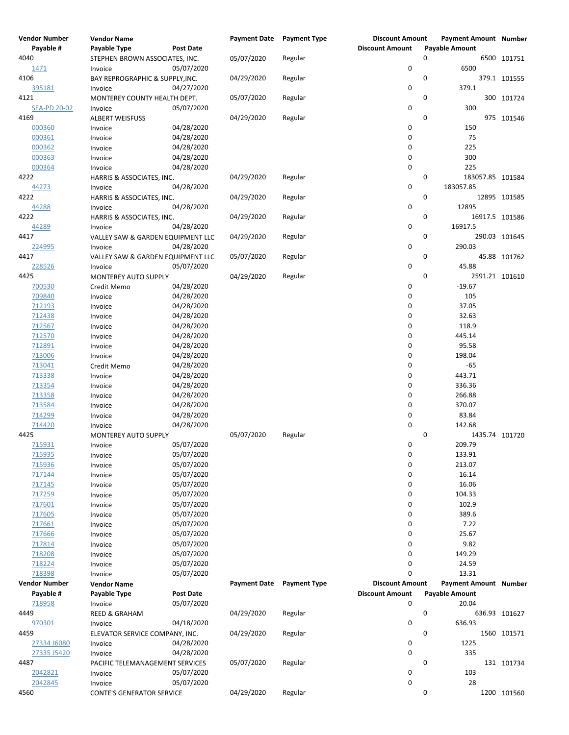| <b>Vendor Number</b> | <b>Vendor Name</b>                |                          | <b>Payment Date</b> | <b>Payment Type</b> | <b>Discount Amount</b> | <b>Payment Amount Number</b> |               |
|----------------------|-----------------------------------|--------------------------|---------------------|---------------------|------------------------|------------------------------|---------------|
| Payable #            | Payable Type                      | <b>Post Date</b>         |                     |                     | <b>Discount Amount</b> | <b>Payable Amount</b>        |               |
| 4040                 | STEPHEN BROWN ASSOCIATES, INC.    |                          | 05/07/2020          | Regular             |                        | 0                            | 6500 101751   |
| 1471                 | Invoice                           | 05/07/2020               |                     |                     | $\pmb{0}$              | 6500                         |               |
| 4106                 | BAY REPROGRAPHIC & SUPPLY, INC.   |                          | 04/29/2020          | Regular             |                        | 0                            | 379.1 101555  |
| 395181               | Invoice                           | 04/27/2020               |                     |                     | 0                      | 379.1                        |               |
| 4121                 | MONTEREY COUNTY HEALTH DEPT.      |                          | 05/07/2020          | Regular             |                        | 0                            | 300 101724    |
| <b>SEA-PD 20-02</b>  | Invoice                           | 05/07/2020               |                     |                     | 0                      | 300                          |               |
| 4169                 | <b>ALBERT WEISFUSS</b>            |                          | 04/29/2020          | Regular             |                        | 0                            | 975 101546    |
| 000360               | Invoice                           | 04/28/2020               |                     |                     | 0                      | 150                          |               |
| 000361               | Invoice                           | 04/28/2020               |                     |                     | 0                      | 75                           |               |
| 000362               | Invoice                           | 04/28/2020               |                     |                     | 0                      | 225                          |               |
| 000363               | Invoice                           | 04/28/2020               |                     |                     | 0                      | 300                          |               |
| 000364               | Invoice                           | 04/28/2020               |                     |                     | 0                      | 225                          |               |
| 4222                 | HARRIS & ASSOCIATES, INC.         |                          | 04/29/2020          | Regular             |                        | 0<br>183057.85 101584        |               |
| 44273                | Invoice                           | 04/28/2020               |                     |                     | 0                      | 183057.85                    |               |
| 4222                 | HARRIS & ASSOCIATES, INC.         |                          | 04/29/2020          | Regular             |                        | 0                            | 12895 101585  |
| 44288                | Invoice                           | 04/28/2020               |                     |                     | 0                      | 12895                        |               |
| 4222                 | HARRIS & ASSOCIATES, INC.         |                          | 04/29/2020          | Regular             |                        | 0<br>16917.5 101586          |               |
| 44289                | Invoice                           | 04/28/2020               |                     |                     | 0                      | 16917.5                      |               |
| 4417                 | VALLEY SAW & GARDEN EQUIPMENT LLC |                          | 04/29/2020          | Regular             |                        | 0                            | 290.03 101645 |
| 224995               | Invoice                           | 04/28/2020               |                     |                     | 0                      | 290.03                       |               |
| 4417                 | VALLEY SAW & GARDEN EQUIPMENT LLC |                          | 05/07/2020          | Regular             |                        | 0                            | 45.88 101762  |
| 228526               | Invoice                           | 05/07/2020               |                     |                     | 0                      | 45.88                        |               |
| 4425                 | MONTEREY AUTO SUPPLY              |                          | 04/29/2020          | Regular             |                        | 0<br>2591.21 101610          |               |
| 700530               | Credit Memo                       | 04/28/2020               |                     |                     | 0                      | $-19.67$                     |               |
| 709840               | Invoice                           | 04/28/2020               |                     |                     | 0                      | 105                          |               |
| 712193               | Invoice                           | 04/28/2020               |                     |                     | 0                      | 37.05                        |               |
| 712438               | Invoice                           | 04/28/2020               |                     |                     | 0                      | 32.63                        |               |
| 712567               | Invoice                           | 04/28/2020               |                     |                     | 0                      | 118.9                        |               |
| 712570               | Invoice                           | 04/28/2020               |                     |                     | 0                      | 445.14                       |               |
| 712891               | Invoice                           | 04/28/2020               |                     |                     | 0                      | 95.58                        |               |
| 713006               | Invoice                           | 04/28/2020               |                     |                     | 0                      | 198.04                       |               |
| 713041               | Credit Memo                       | 04/28/2020               |                     |                     | 0                      | $-65$                        |               |
| 713338               | Invoice                           | 04/28/2020               |                     |                     | 0                      | 443.71                       |               |
| 713354               | Invoice                           | 04/28/2020               |                     |                     | 0                      | 336.36                       |               |
| 713358               | Invoice                           | 04/28/2020               |                     |                     | 0                      | 266.88                       |               |
| 713584               | Invoice                           | 04/28/2020               |                     |                     | 0                      | 370.07                       |               |
| 714299               | Invoice                           | 04/28/2020               |                     |                     | 0                      | 83.84                        |               |
| 714420               | Invoice                           | 04/28/2020               |                     |                     | 0                      | 142.68                       |               |
| 4425                 | MONTEREY AUTO SUPPLY              |                          | 05/07/2020          | Regular             |                        | 0<br>1435.74 101720          |               |
| 715931               |                                   | 05/07/2020               |                     |                     | 0                      | 209.79                       |               |
| 715935               | Invoice                           | 05/07/2020               |                     |                     | 0                      | 133.91                       |               |
| 715936               | Invoice                           | 05/07/2020               |                     |                     | 0                      | 213.07                       |               |
|                      | Invoice                           | 05/07/2020               |                     |                     | 0                      | 16.14                        |               |
| 717144               | Invoice                           |                          |                     |                     | 0                      | 16.06                        |               |
| 717145               | Invoice                           | 05/07/2020               |                     |                     | 0                      |                              |               |
| 717259               | Invoice                           | 05/07/2020<br>05/07/2020 |                     |                     | 0                      | 104.33                       |               |
| 717601               | Invoice                           |                          |                     |                     | 0                      | 102.9                        |               |
| 717605               | Invoice                           | 05/07/2020               |                     |                     |                        | 389.6                        |               |
| 717661               | Invoice                           | 05/07/2020               |                     |                     | 0                      | 7.22                         |               |
| 717666               | Invoice                           | 05/07/2020               |                     |                     | 0                      | 25.67                        |               |
| 717814               | Invoice                           | 05/07/2020               |                     |                     | 0                      | 9.82                         |               |
| 718208               | Invoice                           | 05/07/2020               |                     |                     | 0                      | 149.29                       |               |
| 718224               | Invoice                           | 05/07/2020               |                     |                     | 0                      | 24.59                        |               |
| 718398               | Invoice                           | 05/07/2020               |                     |                     | 0                      | 13.31                        |               |
| <b>Vendor Number</b> | <b>Vendor Name</b>                |                          | <b>Payment Date</b> | <b>Payment Type</b> | <b>Discount Amount</b> | <b>Payment Amount Number</b> |               |
| Payable #            | Payable Type                      | Post Date                |                     |                     | <b>Discount Amount</b> | <b>Payable Amount</b>        |               |
| 718958               | Invoice                           | 05/07/2020               |                     |                     | 0                      | 20.04                        |               |
| 4449                 | <b>REED &amp; GRAHAM</b>          |                          | 04/29/2020          | Regular             |                        | 0                            | 636.93 101627 |
| 970301               | Invoice                           | 04/18/2020               |                     |                     | 0                      | 636.93                       |               |
| 4459                 | ELEVATOR SERVICE COMPANY, INC.    |                          | 04/29/2020          | Regular             |                        | 0                            | 1560 101571   |
| 27334 J6080          | Invoice                           | 04/28/2020               |                     |                     | 0                      | 1225                         |               |
| 27335 J5420          | Invoice                           | 04/28/2020               |                     |                     | 0                      | 335                          |               |
| 4487                 | PACIFIC TELEMANAGEMENT SERVICES   |                          | 05/07/2020          | Regular             |                        | 0                            | 131 101734    |
| 2042821              | Invoice                           | 05/07/2020               |                     |                     | 0                      | 103                          |               |
| 2042845              | Invoice                           | 05/07/2020               |                     |                     | 0                      | 28                           |               |
| 4560                 | <b>CONTE'S GENERATOR SERVICE</b>  |                          | 04/29/2020          | Regular             |                        | 0                            | 1200 101560   |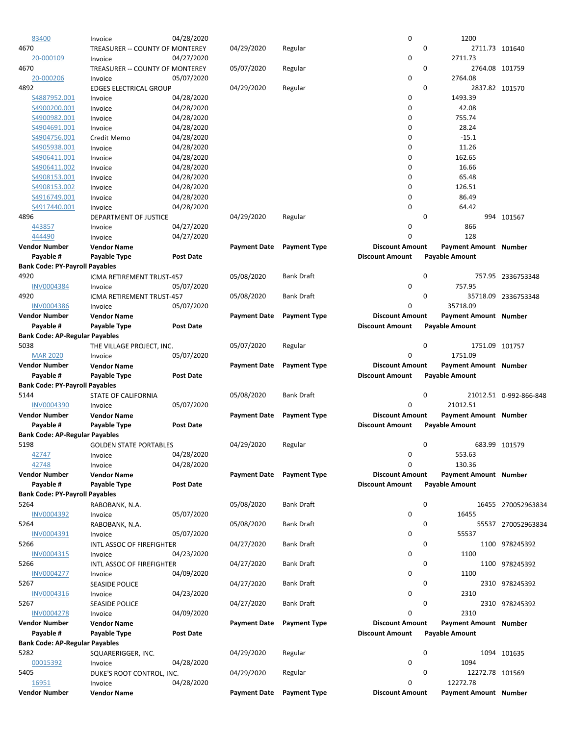| 83400                                 | Invoice                          | 04/28/2020       |                     |                     | 0                      | 1200                          |                        |
|---------------------------------------|----------------------------------|------------------|---------------------|---------------------|------------------------|-------------------------------|------------------------|
| 4670                                  | TREASURER -- COUNTY OF MONTEREY  |                  | 04/29/2020          | Regular             |                        | 0<br>2711.73 101640           |                        |
| 20-000109                             | Invoice                          | 04/27/2020       |                     |                     | 0                      | 2711.73                       |                        |
| 4670                                  | TREASURER -- COUNTY OF MONTEREY  |                  | 05/07/2020          | Regular             |                        | 0<br>2764.08 101759           |                        |
| 20-000206                             | Invoice                          | 05/07/2020       |                     |                     | 0                      | 2764.08                       |                        |
|                                       |                                  |                  |                     |                     |                        | 0                             |                        |
| 4892                                  | <b>EDGES ELECTRICAL GROUP</b>    |                  | 04/29/2020          | Regular             |                        | 2837.82 101570                |                        |
| S4887952.001                          | Invoice                          | 04/28/2020       |                     |                     | 0                      | 1493.39                       |                        |
| S4900200.001                          | Invoice                          | 04/28/2020       |                     |                     | 0                      | 42.08                         |                        |
| S4900982.001                          | Invoice                          | 04/28/2020       |                     |                     | 0                      | 755.74                        |                        |
| S4904691.001                          | Invoice                          | 04/28/2020       |                     |                     | 0                      | 28.24                         |                        |
| S4904756.001                          | Credit Memo                      | 04/28/2020       |                     |                     | $\mathbf 0$            | $-15.1$                       |                        |
|                                       |                                  |                  |                     |                     |                        |                               |                        |
| S4905938.001                          | Invoice                          | 04/28/2020       |                     |                     | 0                      | 11.26                         |                        |
| S4906411.001                          | Invoice                          | 04/28/2020       |                     |                     | 0                      | 162.65                        |                        |
| S4906411.002                          | Invoice                          | 04/28/2020       |                     |                     | 0                      | 16.66                         |                        |
| S4908153.001                          | Invoice                          | 04/28/2020       |                     |                     | 0                      | 65.48                         |                        |
| S4908153.002                          | Invoice                          | 04/28/2020       |                     |                     | $\mathbf 0$            | 126.51                        |                        |
| <u>54916749.001</u>                   | Invoice                          | 04/28/2020       |                     |                     | 0                      | 86.49                         |                        |
|                                       |                                  |                  |                     |                     |                        |                               |                        |
| S4917440.001                          | Invoice                          | 04/28/2020       |                     |                     | 0                      | 64.42                         |                        |
| 4896                                  | DEPARTMENT OF JUSTICE            |                  | 04/29/2020          | Regular             |                        | 0                             | 994 101567             |
| 443857                                | Invoice                          | 04/27/2020       |                     |                     | 0                      | 866                           |                        |
| 444490                                | Invoice                          | 04/27/2020       |                     |                     | 0                      | 128                           |                        |
| <b>Vendor Number</b>                  | <b>Vendor Name</b>               |                  | <b>Payment Date</b> | <b>Payment Type</b> | <b>Discount Amount</b> | <b>Payment Amount Number</b>  |                        |
| Payable #                             | Payable Type                     | <b>Post Date</b> |                     |                     | <b>Discount Amount</b> | <b>Payable Amount</b>         |                        |
|                                       |                                  |                  |                     |                     |                        |                               |                        |
| <b>Bank Code: PY-Payroll Payables</b> |                                  |                  |                     |                     |                        |                               |                        |
| 4920                                  | ICMA RETIREMENT TRUST-457        |                  | 05/08/2020          | <b>Bank Draft</b>   |                        | 0                             | 757.95 2336753348      |
| INV0004384                            | Invoice                          | 05/07/2020       |                     |                     | 0                      | 757.95                        |                        |
| 4920                                  | ICMA RETIREMENT TRUST-457        |                  | 05/08/2020          | <b>Bank Draft</b>   |                        | 0                             | 35718.09 2336753348    |
| <b>INV0004386</b>                     | Invoice                          | 05/07/2020       |                     |                     | 0                      | 35718.09                      |                        |
| <b>Vendor Number</b>                  | <b>Vendor Name</b>               |                  | <b>Payment Date</b> | <b>Payment Type</b> | <b>Discount Amount</b> | Payment Amount Number         |                        |
|                                       |                                  |                  |                     |                     |                        |                               |                        |
| Payable #                             | Payable Type                     | <b>Post Date</b> |                     |                     | <b>Discount Amount</b> | <b>Payable Amount</b>         |                        |
| <b>Bank Code: AP-Regular Payables</b> |                                  |                  |                     |                     |                        |                               |                        |
| 5038                                  | THE VILLAGE PROJECT, INC.        |                  | 05/07/2020          | Regular             |                        | $\mathbf 0$<br>1751.09 101757 |                        |
| <b>MAR 2020</b>                       | Invoice                          | 05/07/2020       |                     |                     | $\mathbf 0$            | 1751.09                       |                        |
| <b>Vendor Number</b>                  | <b>Vendor Name</b>               |                  | <b>Payment Date</b> | <b>Payment Type</b> | <b>Discount Amount</b> | Payment Amount Number         |                        |
| Payable #                             | Payable Type                     | <b>Post Date</b> |                     |                     | <b>Discount Amount</b> | <b>Payable Amount</b>         |                        |
|                                       |                                  |                  |                     |                     |                        |                               |                        |
| <b>Bank Code: PY-Payroll Payables</b> |                                  |                  |                     |                     |                        |                               |                        |
| 5144                                  | STATE OF CALIFORNIA              |                  | 05/08/2020          | <b>Bank Draft</b>   |                        | 0                             | 21012.51 0-992-866-848 |
| <b>INV0004390</b>                     | Invoice                          | 05/07/2020       |                     |                     | 0                      | 21012.51                      |                        |
| <b>Vendor Number</b>                  | <b>Vendor Name</b>               |                  | <b>Payment Date</b> | <b>Payment Type</b> | <b>Discount Amount</b> | Payment Amount Number         |                        |
| Payable #                             | Payable Type                     | <b>Post Date</b> |                     |                     | <b>Discount Amount</b> | <b>Payable Amount</b>         |                        |
|                                       |                                  |                  |                     |                     |                        |                               |                        |
| <b>Bank Code: AP-Regular Payables</b> |                                  |                  |                     |                     |                        |                               |                        |
| 5198                                  | <b>GOLDEN STATE PORTABLES</b>    |                  | 04/29/2020          | Regular             |                        | 0                             | 683.99 101579          |
| 42747                                 | Invoice                          | 04/28/2020       |                     |                     | 0                      | 553.63                        |                        |
| 42748                                 | Invoice                          | 04/28/2020       |                     |                     | 0                      | 130.36                        |                        |
| Vendor Number                         | <b>Vendor Name</b>               |                  | <b>Payment Date</b> | <b>Payment Type</b> | <b>Discount Amount</b> | Payment Amount Number         |                        |
| Payable #                             | Payable Type                     | Post Date        |                     |                     | <b>Discount Amount</b> | <b>Payable Amount</b>         |                        |
|                                       |                                  |                  |                     |                     |                        |                               |                        |
| <b>Bank Code: PY-Payroll Payables</b> |                                  |                  |                     |                     |                        |                               |                        |
| 5264                                  | RABOBANK, N.A.                   |                  | 05/08/2020          | <b>Bank Draft</b>   |                        | 0                             | 16455 270052963834     |
| INV0004392                            | Invoice                          | 05/07/2020       |                     |                     | 0                      | 16455                         |                        |
| 5264                                  | RABOBANK, N.A.                   |                  | 05/08/2020          | <b>Bank Draft</b>   |                        | 0                             | 55537 270052963834     |
| INV0004391                            | Invoice                          | 05/07/2020       |                     |                     | 0                      | 55537                         |                        |
| 5266                                  |                                  |                  | 04/27/2020          | <b>Bank Draft</b>   |                        | 0                             |                        |
|                                       | <b>INTL ASSOC OF FIREFIGHTER</b> |                  |                     |                     |                        |                               | 1100 978245392         |
| INV0004315                            | Invoice                          | 04/23/2020       |                     |                     | 0                      | 1100                          |                        |
| 5266                                  | INTL ASSOC OF FIREFIGHTER        |                  | 04/27/2020          | <b>Bank Draft</b>   |                        | 0                             | 1100 978245392         |
| <b>INV0004277</b>                     | Invoice                          | 04/09/2020       |                     |                     | 0                      | 1100                          |                        |
| 5267                                  | <b>SEASIDE POLICE</b>            |                  | 04/27/2020          | <b>Bank Draft</b>   |                        | 0                             | 2310 978245392         |
| INV0004316                            | Invoice                          | 04/23/2020       |                     |                     | 0                      | 2310                          |                        |
|                                       |                                  |                  |                     |                     |                        |                               |                        |
| 5267                                  | <b>SEASIDE POLICE</b>            |                  | 04/27/2020          | <b>Bank Draft</b>   |                        | 0                             | 2310 978245392         |
| <b>INV0004278</b>                     | Invoice                          | 04/09/2020       |                     |                     | 0                      | 2310                          |                        |
| <b>Vendor Number</b>                  | <b>Vendor Name</b>               |                  | <b>Payment Date</b> | <b>Payment Type</b> | <b>Discount Amount</b> | <b>Payment Amount Number</b>  |                        |
| Payable #                             | Payable Type                     | <b>Post Date</b> |                     |                     | <b>Discount Amount</b> | <b>Payable Amount</b>         |                        |
| <b>Bank Code: AP-Regular Payables</b> |                                  |                  |                     |                     |                        |                               |                        |
|                                       |                                  |                  |                     |                     |                        |                               |                        |
| 5282                                  | SQUARERIGGER, INC.               |                  | 04/29/2020          | Regular             |                        | 0                             | 1094 101635            |
| 00015392                              |                                  |                  |                     |                     |                        |                               |                        |
|                                       | Invoice                          | 04/28/2020       |                     |                     | 0                      | 1094                          |                        |
| 5405                                  | DUKE'S ROOT CONTROL, INC.        |                  | 04/29/2020          | Regular             |                        | 0<br>12272.78 101569          |                        |
| 16951                                 | Invoice                          | 04/28/2020       |                     |                     | 0                      | 12272.78                      |                        |
| Vendor Number                         | <b>Vendor Name</b>               |                  | <b>Payment Date</b> | <b>Payment Type</b> | <b>Discount Amount</b> | Payment Amount Number         |                        |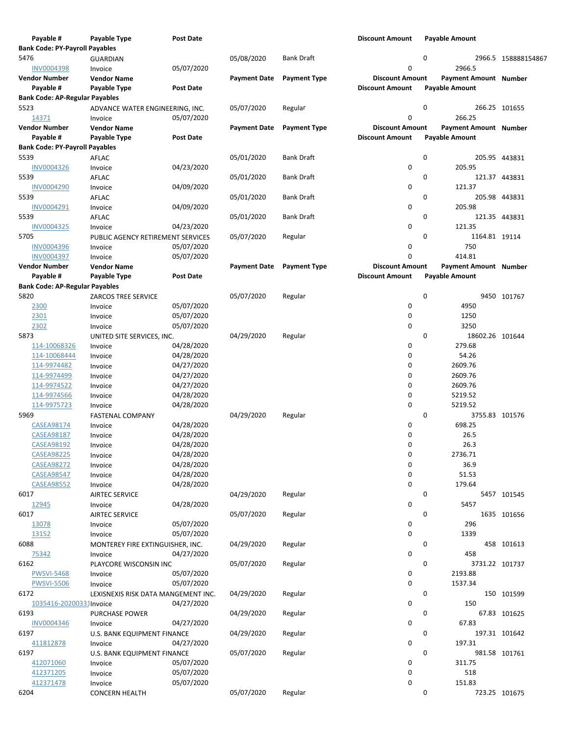|      | Payable #                             | Payable Type                        | <b>Post Date</b> |                     |                     | <b>Discount Amount</b> |           | <b>Payable Amount</b>        |                     |
|------|---------------------------------------|-------------------------------------|------------------|---------------------|---------------------|------------------------|-----------|------------------------------|---------------------|
|      | <b>Bank Code: PY-Payroll Payables</b> |                                     |                  |                     |                     |                        |           |                              |                     |
| 5476 |                                       | <b>GUARDIAN</b>                     |                  | 05/08/2020          | <b>Bank Draft</b>   |                        | 0         |                              | 2966.5 158888154867 |
|      | <b>INV0004398</b>                     | Invoice                             | 05/07/2020       |                     |                     | 0                      |           | 2966.5                       |                     |
|      | <b>Vendor Number</b>                  | <b>Vendor Name</b>                  |                  | <b>Payment Date</b> | <b>Payment Type</b> | <b>Discount Amount</b> |           | Payment Amount Number        |                     |
|      | Payable #                             | Payable Type                        | <b>Post Date</b> |                     |                     | <b>Discount Amount</b> |           | <b>Payable Amount</b>        |                     |
|      | <b>Bank Code: AP-Regular Payables</b> |                                     |                  |                     |                     |                        |           |                              |                     |
| 5523 |                                       | ADVANCE WATER ENGINEERING, INC.     |                  | 05/07/2020          | Regular             |                        | $\pmb{0}$ |                              | 266.25 101655       |
|      | 14371                                 | Invoice                             | 05/07/2020       |                     |                     | 0                      |           | 266.25                       |                     |
|      | <b>Vendor Number</b>                  | <b>Vendor Name</b>                  |                  | <b>Payment Date</b> | <b>Payment Type</b> | <b>Discount Amount</b> |           | <b>Payment Amount Number</b> |                     |
|      | Payable #                             | Payable Type                        | <b>Post Date</b> |                     |                     | <b>Discount Amount</b> |           | <b>Payable Amount</b>        |                     |
|      | <b>Bank Code: PY-Payroll Payables</b> |                                     |                  |                     |                     |                        |           |                              |                     |
| 5539 |                                       |                                     |                  | 05/01/2020          | <b>Bank Draft</b>   |                        | 0         |                              | 205.95 443831       |
|      |                                       | AFLAC                               |                  |                     |                     | 0                      |           | 205.95                       |                     |
|      | <b>INV0004326</b>                     | Invoice                             | 04/23/2020       |                     |                     |                        | 0         |                              |                     |
| 5539 |                                       | AFLAC                               |                  | 05/01/2020          | <b>Bank Draft</b>   |                        |           |                              | 121.37 443831       |
|      | <b>INV0004290</b>                     | Invoice                             | 04/09/2020       |                     |                     | 0                      |           | 121.37                       |                     |
| 5539 |                                       | AFLAC                               |                  | 05/01/2020          | <b>Bank Draft</b>   |                        | 0         |                              | 205.98 443831       |
|      | INV0004291                            | Invoice                             | 04/09/2020       |                     |                     | 0                      |           | 205.98                       |                     |
| 5539 |                                       | AFLAC                               |                  | 05/01/2020          | <b>Bank Draft</b>   |                        | 0         |                              | 121.35 443831       |
|      | <b>INV0004325</b>                     | Invoice                             | 04/23/2020       |                     |                     | 0                      |           | 121.35                       |                     |
| 5705 |                                       | PUBLIC AGENCY RETIREMENT SERVICES   |                  | 05/07/2020          | Regular             |                        | 0         | 1164.81 19114                |                     |
|      | <b>INV0004396</b>                     | Invoice                             | 05/07/2020       |                     |                     | 0                      |           | 750                          |                     |
|      | INV0004397                            | Invoice                             | 05/07/2020       |                     |                     | 0                      |           | 414.81                       |                     |
|      | <b>Vendor Number</b>                  | <b>Vendor Name</b>                  |                  | <b>Payment Date</b> | <b>Payment Type</b> | <b>Discount Amount</b> |           | Payment Amount Number        |                     |
|      | Payable #                             | Payable Type                        | <b>Post Date</b> |                     |                     | <b>Discount Amount</b> |           | <b>Payable Amount</b>        |                     |
|      | <b>Bank Code: AP-Regular Payables</b> |                                     |                  |                     |                     |                        |           |                              |                     |
| 5820 |                                       | ZARCOS TREE SERVICE                 |                  | 05/07/2020          | Regular             |                        | 0         |                              | 9450 101767         |
| 2300 |                                       | Invoice                             | 05/07/2020       |                     |                     | 0                      |           | 4950                         |                     |
| 2301 |                                       | Invoice                             | 05/07/2020       |                     |                     | 0                      |           | 1250                         |                     |
| 2302 |                                       | Invoice                             | 05/07/2020       |                     |                     | 0                      |           | 3250                         |                     |
| 5873 |                                       | UNITED SITE SERVICES, INC.          |                  | 04/29/2020          | Regular             |                        | 0         | 18602.26 101644              |                     |
|      | 114-10068326                          | Invoice                             | 04/28/2020       |                     |                     | 0                      |           | 279.68                       |                     |
|      | 114-10068444                          | Invoice                             | 04/28/2020       |                     |                     | 0                      |           | 54.26                        |                     |
|      | 114-9974482                           | Invoice                             | 04/27/2020       |                     |                     | 0                      |           | 2609.76                      |                     |
|      | 114-9974499                           | Invoice                             | 04/27/2020       |                     |                     | 0                      |           | 2609.76                      |                     |
|      | 114-9974522                           | Invoice                             | 04/27/2020       |                     |                     | 0                      |           | 2609.76                      |                     |
|      | 114-9974566                           | Invoice                             | 04/28/2020       |                     |                     | 0                      |           | 5219.52                      |                     |
|      | 114-9975723                           | Invoice                             | 04/28/2020       |                     |                     | 0                      |           | 5219.52                      |                     |
| 5969 |                                       | <b>FASTENAL COMPANY</b>             |                  | 04/29/2020          | Regular             |                        | 0         | 3755.83 101576               |                     |
|      | <b>CASEA98174</b>                     | Invoice                             | 04/28/2020       |                     |                     | 0                      |           | 698.25                       |                     |
|      | <b>CASEA98187</b>                     | Invoice                             | 04/28/2020       |                     |                     | 0                      |           | 26.5                         |                     |
|      | <b>CASEA98192</b>                     | Invoice                             | 04/28/2020       |                     |                     | 0                      |           | 26.3                         |                     |
|      | <b>CASEA98225</b>                     | Invoice                             | 04/28/2020       |                     |                     | 0                      |           | 2736.71                      |                     |
|      | <b>CASEA98272</b>                     | Invoice                             | 04/28/2020       |                     |                     | 0                      |           | 36.9                         |                     |
|      | <b>CASEA98547</b>                     |                                     | 04/28/2020       |                     |                     | 0                      |           | 51.53                        |                     |
|      | <b>CASEA98552</b>                     | Invoice                             |                  |                     |                     | 0                      |           | 179.64                       |                     |
| 6017 |                                       | Invoice                             | 04/28/2020       | 04/29/2020          |                     |                        |           |                              |                     |
|      |                                       | <b>AIRTEC SERVICE</b>               |                  |                     | Regular             |                        | 0         | 5457                         | 5457 101545         |
|      | 12945                                 | Invoice                             | 04/28/2020       |                     |                     | 0                      | 0         |                              |                     |
| 6017 |                                       | <b>AIRTEC SERVICE</b>               |                  | 05/07/2020          | Regular             |                        |           |                              | 1635 101656         |
|      | 13078                                 | Invoice                             | 05/07/2020       |                     |                     | 0                      |           | 296                          |                     |
|      | 13152                                 | Invoice                             | 05/07/2020       |                     |                     | 0                      |           | 1339                         |                     |
| 6088 |                                       | MONTEREY FIRE EXTINGUISHER, INC.    |                  | 04/29/2020          | Regular             |                        | 0         |                              | 458 101613          |
|      | 75342                                 | Invoice                             | 04/27/2020       |                     |                     | 0                      |           | 458                          |                     |
| 6162 |                                       | PLAYCORE WISCONSIN INC              |                  | 05/07/2020          | Regular             |                        | 0         | 3731.22 101737               |                     |
|      | <b>PWSVI-5468</b>                     | Invoice                             | 05/07/2020       |                     |                     | 0                      |           | 2193.88                      |                     |
|      | <b>PWSVI-5506</b>                     | Invoice                             | 05/07/2020       |                     |                     | 0                      |           | 1537.34                      |                     |
| 6172 |                                       | LEXISNEXIS RISK DATA MANGEMENT INC. |                  | 04/29/2020          | Regular             |                        | 0         |                              | 150 101599          |
|      | 1035416-20200331Invoice               |                                     | 04/27/2020       |                     |                     | 0                      |           | 150                          |                     |
| 6193 |                                       | <b>PURCHASE POWER</b>               |                  | 04/29/2020          | Regular             |                        | 0         |                              | 67.83 101625        |
|      | <b>INV0004346</b>                     | Invoice                             | 04/27/2020       |                     |                     | 0                      |           | 67.83                        |                     |
| 6197 |                                       | U.S. BANK EQUIPMENT FINANCE         |                  | 04/29/2020          | Regular             |                        | 0         |                              | 197.31 101642       |
|      | 411812878                             | Invoice                             | 04/27/2020       |                     |                     | 0                      |           | 197.31                       |                     |
| 6197 |                                       | U.S. BANK EQUIPMENT FINANCE         |                  | 05/07/2020          | Regular             |                        | 0         |                              | 981.58 101761       |
|      | 412071060                             | Invoice                             | 05/07/2020       |                     |                     | 0                      |           | 311.75                       |                     |
|      | 412371205                             | Invoice                             | 05/07/2020       |                     |                     | 0                      |           | 518                          |                     |
|      | 412371478                             | Invoice                             | 05/07/2020       |                     |                     | 0                      |           | 151.83                       |                     |
| 6204 |                                       | <b>CONCERN HEALTH</b>               |                  | 05/07/2020          | Regular             |                        | 0         |                              | 723.25 101675       |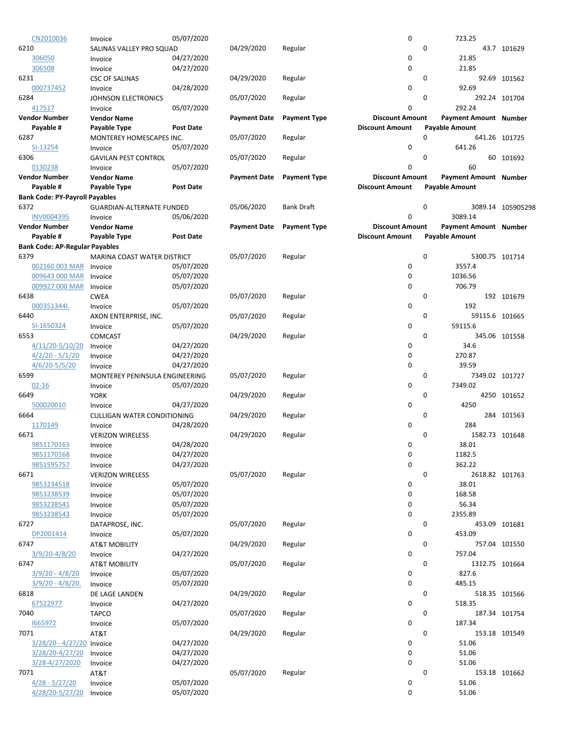| CN2010036                             | Invoice                            | 05/07/2020       |                     |                     | $\mathbf 0$            |                       | 723.25                       |                   |
|---------------------------------------|------------------------------------|------------------|---------------------|---------------------|------------------------|-----------------------|------------------------------|-------------------|
| 6210                                  | SALINAS VALLEY PRO SQUAD           |                  | 04/29/2020          | Regular             |                        | 0                     |                              | 43.7 101629       |
| 306050                                | Invoice                            | 04/27/2020       |                     |                     | 0                      |                       | 21.85                        |                   |
| 306508                                | Invoice                            | 04/27/2020       |                     |                     | 0                      |                       | 21.85                        |                   |
| 6231                                  |                                    |                  | 04/29/2020          | Regular             |                        | 0                     |                              | 92.69 101562      |
|                                       | <b>CSC OF SALINAS</b>              |                  |                     |                     | 0                      |                       |                              |                   |
| 000737452                             | Invoice                            | 04/28/2020       |                     |                     |                        |                       | 92.69                        |                   |
| 6284                                  | JOHNSON ELECTRONICS                |                  | 05/07/2020          | Regular             |                        | 0                     |                              | 292.24 101704     |
| 417517                                | Invoice                            | 05/07/2020       |                     |                     | 0                      |                       | 292.24                       |                   |
| <b>Vendor Number</b>                  | <b>Vendor Name</b>                 |                  | <b>Payment Date</b> | <b>Payment Type</b> | <b>Discount Amount</b> |                       | Payment Amount Number        |                   |
| Payable #                             | Payable Type                       | <b>Post Date</b> |                     |                     | <b>Discount Amount</b> | <b>Payable Amount</b> |                              |                   |
| 6287                                  | MONTEREY HOMESCAPES INC.           |                  | 05/07/2020          | Regular             |                        | $\Omega$              |                              | 641.26 101725     |
| SI-13254                              | Invoice                            | 05/07/2020       |                     |                     | 0                      |                       | 641.26                       |                   |
| 6306                                  | <b>GAVILAN PEST CONTROL</b>        |                  | 05/07/2020          | Regular             |                        | 0                     |                              | 60 101692         |
| 0130238                               | Invoice                            | 05/07/2020       |                     |                     | 0                      |                       | 60                           |                   |
| <b>Vendor Number</b>                  | <b>Vendor Name</b>                 |                  | <b>Payment Date</b> | <b>Payment Type</b> | <b>Discount Amount</b> |                       | Payment Amount Number        |                   |
| Payable #                             | Payable Type                       | <b>Post Date</b> |                     |                     | <b>Discount Amount</b> | <b>Payable Amount</b> |                              |                   |
| <b>Bank Code: PY-Payroll Payables</b> |                                    |                  |                     |                     |                        |                       |                              |                   |
| 6372                                  |                                    |                  |                     | <b>Bank Draft</b>   |                        | 0                     |                              |                   |
|                                       | GUARDIAN-ALTERNATE FUNDED          |                  | 05/06/2020          |                     | 0                      |                       |                              | 3089.14 105905298 |
| INV0004395                            | Invoice                            | 05/06/2020       |                     |                     |                        |                       | 3089.14                      |                   |
| <b>Vendor Number</b>                  | <b>Vendor Name</b>                 |                  | <b>Payment Date</b> | <b>Payment Type</b> | <b>Discount Amount</b> |                       | <b>Payment Amount Number</b> |                   |
| Payable #                             | Payable Type                       | <b>Post Date</b> |                     |                     | <b>Discount Amount</b> | <b>Payable Amount</b> |                              |                   |
| <b>Bank Code: AP-Regular Payables</b> |                                    |                  |                     |                     |                        |                       |                              |                   |
| 6379                                  | <b>MARINA COAST WATER DISTRICT</b> |                  | 05/07/2020          | Regular             |                        | 0                     | 5300.75 101714               |                   |
| 002160 003 MAR                        | Invoice                            | 05/07/2020       |                     |                     | 0                      |                       | 3557.4                       |                   |
| 009643 000 MAR                        | Invoice                            | 05/07/2020       |                     |                     | 0                      |                       | 1036.56                      |                   |
| 009927 000 MAR                        | Invoice                            | 05/07/2020       |                     |                     | 0                      |                       | 706.79                       |                   |
| 6438                                  | <b>CWEA</b>                        |                  | 05/07/2020          | Regular             |                        | 0                     |                              | 192 101679        |
| 000351344I.                           | Invoice                            | 05/07/2020       |                     |                     | 0                      |                       | 192                          |                   |
| 6440                                  | AXON ENTERPRISE, INC.              |                  | 05/07/2020          | Regular             |                        | 0                     | 59115.6 101665               |                   |
| SI-1650324                            |                                    | 05/07/2020       |                     |                     | 0                      |                       | 59115.6                      |                   |
|                                       | Invoice                            |                  |                     |                     |                        | $\Omega$              |                              |                   |
| 6553                                  | <b>COMCAST</b>                     |                  | 04/29/2020          | Regular             |                        |                       |                              | 345.06 101558     |
| 4/11/20-5/10/20                       | Invoice                            | 04/27/2020       |                     |                     | 0                      |                       | 34.6                         |                   |
| $4/2/20 - 5/1/20$                     | Invoice                            | 04/27/2020       |                     |                     | 0                      |                       | 270.87                       |                   |
| $4/6/20 - 5/5/20$                     | Invoice                            | 04/27/2020       |                     |                     | $\mathbf 0$            |                       | 39.59                        |                   |
| 6599                                  | MONTEREY PENINSULA ENGINEERING     |                  | 05/07/2020          | Regular             |                        | 0                     | 7349.02 101727               |                   |
| $02 - 16$                             | Invoice                            | 05/07/2020       |                     |                     | 0                      |                       | 7349.02                      |                   |
| 6649                                  | <b>YORK</b>                        |                  | 04/29/2020          | Regular             |                        | 0                     |                              | 4250 101652       |
| 500020010                             | Invoice                            | 04/27/2020       |                     |                     | 0                      |                       | 4250                         |                   |
| 6664                                  | CULLIGAN WATER CONDITIONING        |                  | 04/29/2020          | Regular             |                        | 0                     |                              | 284 101563        |
| 1170149                               | Invoice                            | 04/28/2020       |                     |                     | 0                      |                       | 284                          |                   |
| 6671                                  | <b>VERIZON WIRELESS</b>            |                  | 04/29/2020          | Regular             |                        | 0                     | 1582.73 101648               |                   |
| 9851170163                            |                                    | 04/28/2020       |                     |                     | 0                      |                       | 38.01                        |                   |
|                                       | Invoice                            |                  |                     |                     |                        |                       |                              |                   |
| 9851170168                            | Invoice                            | 04/27/2020       |                     |                     | 0                      |                       | 1182.5                       |                   |
| 9851595757                            | Invoice                            | 04/27/2020       |                     |                     | $\mathsf 0$            |                       | 362.22                       |                   |
| 6671                                  | <b>VERIZON WIRELESS</b>            |                  | 05/07/2020          | Regular             |                        | 0                     | 2618.82 101763               |                   |
| 9853234518                            | Invoice                            | 05/07/2020       |                     |                     | 0                      |                       | 38.01                        |                   |
| 9853238539                            | Invoice                            | 05/07/2020       |                     |                     | 0                      |                       | 168.58                       |                   |
| 9853238541                            | Invoice                            | 05/07/2020       |                     |                     | 0                      |                       | 56.34                        |                   |
| 9853238543                            | Invoice                            | 05/07/2020       |                     |                     | 0                      |                       | 2355.89                      |                   |
| 6727                                  | DATAPROSE, INC.                    |                  | 05/07/2020          | Regular             |                        | 0                     |                              | 453.09 101681     |
| DP2001414                             | Invoice                            | 05/07/2020       |                     |                     | 0                      |                       | 453.09                       |                   |
| 6747                                  | <b>AT&amp;T MOBILITY</b>           |                  | 04/29/2020          | Regular             |                        | 0                     |                              | 757.04 101550     |
| $3/9/20 - 4/8/20$                     | Invoice                            | 04/27/2020       |                     |                     | 0                      |                       | 757.04                       |                   |
| 6747                                  | <b>AT&amp;T MOBILITY</b>           |                  | 05/07/2020          | Regular             |                        | 0                     | 1312.75 101664               |                   |
| $3/9/20 - 4/8/20$                     |                                    | 05/07/2020       |                     |                     | 0                      |                       | 827.6                        |                   |
|                                       | Invoice                            |                  |                     |                     | $\mathsf 0$            |                       |                              |                   |
| $3/9/20 - 4/8/20$ .                   | Invoice                            | 05/07/2020       |                     |                     |                        |                       | 485.15                       |                   |
| 6818                                  | DE LAGE LANDEN                     |                  | 04/29/2020          | Regular             |                        | 0                     |                              | 518.35 101566     |
| 67522977                              | Invoice                            | 04/27/2020       |                     |                     | 0                      |                       | 518.35                       |                   |
| 7040                                  | <b>TAPCO</b>                       |                  | 05/07/2020          | Regular             |                        | 0                     |                              | 187.34 101754     |
| 1665972                               | Invoice                            | 05/07/2020       |                     |                     | 0                      |                       | 187.34                       |                   |
| 7071                                  | AT&T                               |                  | 04/29/2020          | Regular             |                        | 0                     |                              | 153.18 101549     |
| 3/28/20 - 4/27/20 Invoice             |                                    | 04/27/2020       |                     |                     | 0                      |                       | 51.06                        |                   |
| 3/28/20-4/27/20                       | Invoice                            | 04/27/2020       |                     |                     | 0                      |                       | 51.06                        |                   |
| 3/28-4/27/2020                        | Invoice                            | 04/27/2020       |                     |                     | 0                      |                       | 51.06                        |                   |
| 7071                                  | AT&T                               |                  | 05/07/2020          | Regular             |                        | 0                     |                              | 153.18 101662     |
| $4/28 - 5/27/20$                      | Invoice                            | 05/07/2020       |                     |                     | 0                      |                       | 51.06                        |                   |
| 4/28/20-5/27/20                       | Invoice                            | 05/07/2020       |                     |                     | 0                      |                       | 51.06                        |                   |
|                                       |                                    |                  |                     |                     |                        |                       |                              |                   |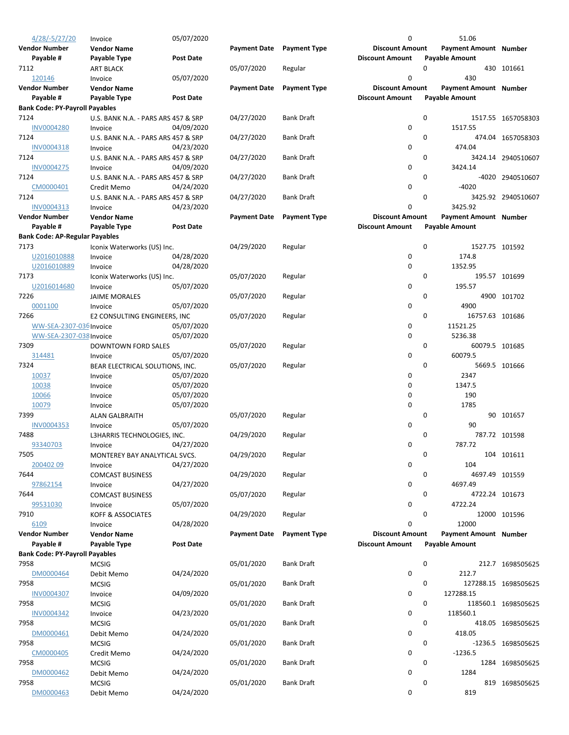| $4/28/-5/27/20$                       | Invoice                                  | 05/07/2020       |                     |                     | 0                      | 51.06                        |                      |
|---------------------------------------|------------------------------------------|------------------|---------------------|---------------------|------------------------|------------------------------|----------------------|
| Vendor Number                         | <b>Vendor Name</b>                       |                  | <b>Payment Date</b> | <b>Payment Type</b> | <b>Discount Amount</b> | Payment Amount Number        |                      |
| Payable #                             | Payable Type                             | <b>Post Date</b> |                     |                     | <b>Discount Amount</b> | <b>Payable Amount</b>        |                      |
| 7112                                  | <b>ART BLACK</b>                         |                  | 05/07/2020          | Regular             |                        | 0                            | 430 101661           |
| 120146                                | Invoice                                  | 05/07/2020       |                     |                     | 0                      | 430                          |                      |
| Vendor Number                         | <b>Vendor Name</b>                       |                  | <b>Payment Date</b> | <b>Payment Type</b> | <b>Discount Amount</b> | <b>Payment Amount Number</b> |                      |
| Payable #                             | Payable Type                             | <b>Post Date</b> |                     |                     | <b>Discount Amount</b> | <b>Payable Amount</b>        |                      |
| <b>Bank Code: PY-Payroll Payables</b> |                                          |                  |                     |                     |                        |                              |                      |
| 7124                                  | U.S. BANK N.A. - PARS ARS 457 & SRP      |                  | 04/27/2020          | <b>Bank Draft</b>   |                        | 0                            | 1517.55 1657058303   |
| <b>INV0004280</b>                     | Invoice                                  | 04/09/2020       |                     |                     | 0                      | 1517.55                      |                      |
| 7124                                  | U.S. BANK N.A. - PARS ARS 457 & SRP      |                  | 04/27/2020          | <b>Bank Draft</b>   |                        | 0                            | 474.04 1657058303    |
| INV0004318                            | Invoice                                  | 04/23/2020       |                     |                     | 0                      | 474.04                       |                      |
| 7124                                  | U.S. BANK N.A. - PARS ARS 457 & SRP      |                  | 04/27/2020          | <b>Bank Draft</b>   |                        | 0                            | 3424.14 2940510607   |
| <b>INV0004275</b>                     | Invoice                                  | 04/09/2020       |                     |                     | 0                      | 3424.14                      |                      |
| 7124                                  | U.S. BANK N.A. - PARS ARS 457 & SRP      |                  | 04/27/2020          | <b>Bank Draft</b>   |                        | 0                            | -4020 2940510607     |
| CM0000401                             | Credit Memo                              | 04/24/2020       |                     |                     | 0                      | $-4020$                      |                      |
| 7124                                  | U.S. BANK N.A. - PARS ARS 457 & SRP      |                  | 04/27/2020          | <b>Bank Draft</b>   |                        | 0                            | 3425.92 2940510607   |
| INV0004313                            | Invoice                                  | 04/23/2020       |                     |                     | 0                      | 3425.92                      |                      |
| Vendor Number                         | <b>Vendor Name</b>                       |                  | <b>Payment Date</b> | <b>Payment Type</b> | <b>Discount Amount</b> | <b>Payment Amount Number</b> |                      |
| Payable #                             | Payable Type                             | <b>Post Date</b> |                     |                     | <b>Discount Amount</b> | <b>Payable Amount</b>        |                      |
| <b>Bank Code: AP-Regular Payables</b> |                                          |                  |                     |                     |                        |                              |                      |
| 7173                                  | Iconix Waterworks (US) Inc.              |                  | 04/29/2020          | Regular             |                        | 0                            | 1527.75 101592       |
| U2016010888                           | Invoice                                  | 04/28/2020       |                     |                     | 0                      | 174.8                        |                      |
| U2016010889                           | Invoice                                  | 04/28/2020       |                     |                     | 0                      | 1352.95                      |                      |
| 7173                                  | Iconix Waterworks (US) Inc.              |                  | 05/07/2020          | Regular             |                        | 0                            | 195.57 101699        |
| U2016014680                           | Invoice                                  | 05/07/2020       |                     |                     | 0                      | 195.57                       |                      |
| 7226                                  | <b>JAIME MORALES</b>                     |                  | 05/07/2020          | Regular             |                        | 0                            | 4900 101702          |
| 0001100                               | Invoice                                  | 05/07/2020       |                     |                     | 0                      | 4900                         |                      |
| 7266                                  | E2 CONSULTING ENGINEERS, INC             |                  | 05/07/2020          | Regular             |                        | 0                            | 16757.63 101686      |
| WW-SEA-2307-036 Invoice               |                                          | 05/07/2020       |                     |                     | 0                      | 11521.25                     |                      |
| WW-SEA-2307-038 Invoice               |                                          | 05/07/2020       |                     |                     | 0                      | 5236.38                      |                      |
| 7309                                  | DOWNTOWN FORD SALES                      |                  | 05/07/2020          | Regular             |                        | 0                            | 60079.5 101685       |
| 314481                                | Invoice                                  | 05/07/2020       |                     |                     | 0                      | 60079.5                      |                      |
| 7324                                  | BEAR ELECTRICAL SOLUTIONS, INC.          |                  | 05/07/2020          | Regular             |                        | 0                            | 5669.5 101666        |
| 10037                                 | Invoice                                  | 05/07/2020       |                     |                     | 0                      | 2347                         |                      |
| 10038                                 | Invoice                                  | 05/07/2020       |                     |                     | 0                      | 1347.5                       |                      |
| 10066                                 | Invoice                                  | 05/07/2020       |                     |                     | 0                      | 190                          |                      |
| 10079                                 | Invoice                                  | 05/07/2020       |                     |                     | 0                      | 1785                         |                      |
| 7399                                  | <b>ALAN GALBRAITH</b>                    |                  | 05/07/2020          | Regular             |                        | 0                            | 90 101657            |
| INV0004353                            | Invoice                                  | 05/07/2020       |                     |                     | 0                      | 90                           |                      |
| 7488                                  | L3HARRIS TECHNOLOGIES, INC.              |                  | 04/29/2020          | Regular             |                        | 0                            | 787.72 101598        |
| 93340703                              |                                          | 04/27/2020       |                     |                     | 0                      | 787.72                       |                      |
| 7505                                  | Invoice<br>MONTEREY BAY ANALYTICAL SVCS. |                  | 04/29/2020          | Regular             |                        | 0                            | 104 101611           |
| 20040209                              |                                          | 04/27/2020       |                     |                     | 0                      | 104                          |                      |
| 7644                                  | Invoice                                  |                  | 04/29/2020          |                     |                        | 0                            |                      |
| 97862154                              | <b>COMCAST BUSINESS</b>                  |                  |                     | Regular             | 0                      | 4697.49                      | 4697.49 101559       |
|                                       | Invoice                                  | 04/27/2020       |                     |                     |                        |                              |                      |
| 7644                                  | <b>COMCAST BUSINESS</b>                  |                  | 05/07/2020          | Regular             |                        | 0                            | 4722.24 101673       |
| 99531030                              | Invoice                                  | 05/07/2020       |                     |                     | 0                      | 4722.24<br>0                 |                      |
| 7910                                  | <b>KOFF &amp; ASSOCIATES</b>             |                  | 04/29/2020          | Regular             |                        |                              | 12000 101596         |
| 6109                                  | Invoice                                  | 04/28/2020       |                     |                     | 0                      | 12000                        |                      |
| Vendor Number                         | <b>Vendor Name</b>                       |                  | <b>Payment Date</b> | <b>Payment Type</b> | <b>Discount Amount</b> | <b>Payment Amount Number</b> |                      |
| Payable #                             | <b>Payable Type</b>                      | Post Date        |                     |                     | <b>Discount Amount</b> | <b>Payable Amount</b>        |                      |
| <b>Bank Code: PY-Payroll Payables</b> |                                          |                  |                     |                     |                        |                              |                      |
| 7958                                  | <b>MCSIG</b>                             |                  | 05/01/2020          | <b>Bank Draft</b>   |                        | 0                            | 212.7 1698505625     |
| DM0000464                             | Debit Memo                               | 04/24/2020       |                     |                     | 0                      | 212.7                        |                      |
| 7958                                  | <b>MCSIG</b>                             |                  | 05/01/2020          | <b>Bank Draft</b>   |                        | 0                            | 127288.15 1698505625 |
| INV0004307                            | Invoice                                  | 04/09/2020       |                     |                     | 0                      | 127288.15                    |                      |
| 7958                                  | <b>MCSIG</b>                             |                  | 05/01/2020          | <b>Bank Draft</b>   |                        | 0                            | 118560.1 1698505625  |
| INV0004342                            | Invoice                                  | 04/23/2020       |                     |                     | 0                      | 118560.1                     |                      |
| 7958                                  | <b>MCSIG</b>                             |                  | 05/01/2020          | <b>Bank Draft</b>   |                        | 0                            | 418.05 1698505625    |
| DM0000461                             | Debit Memo                               | 04/24/2020       |                     |                     | 0                      | 418.05                       |                      |
| 7958                                  | <b>MCSIG</b>                             |                  | 05/01/2020          | <b>Bank Draft</b>   |                        | 0                            | -1236.5 1698505625   |
| CM0000405                             | Credit Memo                              | 04/24/2020       |                     |                     | 0                      | $-1236.5$                    |                      |
| 7958                                  | <b>MCSIG</b>                             |                  | 05/01/2020          | <b>Bank Draft</b>   |                        | 0                            | 1284 1698505625      |
| DM0000462                             | Debit Memo                               | 04/24/2020       |                     |                     | 0                      | 1284                         |                      |
| 7958                                  | <b>MCSIG</b>                             |                  | 05/01/2020          | <b>Bank Draft</b>   |                        | 0                            | 819 1698505625       |
| DM0000463                             | Debit Memo                               | 04/24/2020       |                     |                     | 0                      | 819                          |                      |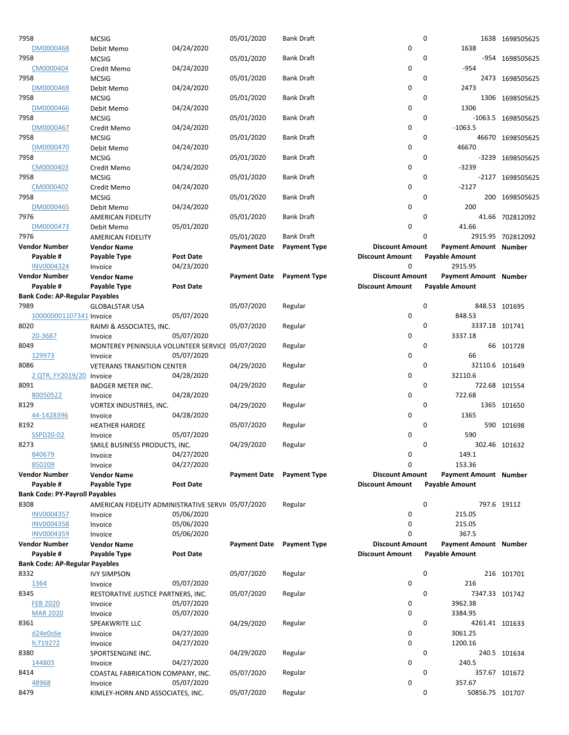| 7958                                  | <b>MCSIG</b>                                       |                  | 05/01/2020          | <b>Bank Draft</b>   |                        | 0        |                              | 1638 1698505625    |
|---------------------------------------|----------------------------------------------------|------------------|---------------------|---------------------|------------------------|----------|------------------------------|--------------------|
| DM0000468                             | Debit Memo                                         | 04/24/2020       |                     |                     | 0                      |          | 1638                         |                    |
| 7958                                  | <b>MCSIG</b>                                       |                  | 05/01/2020          | <b>Bank Draft</b>   |                        | 0        |                              | -954 1698505625    |
| CM0000404                             | Credit Memo                                        | 04/24/2020       |                     |                     | 0                      |          | $-954$                       |                    |
| 7958                                  | <b>MCSIG</b>                                       |                  | 05/01/2020          | <b>Bank Draft</b>   |                        | 0        |                              | 2473 1698505625    |
| DM0000469                             | Debit Memo                                         | 04/24/2020       |                     |                     | 0                      |          | 2473                         |                    |
| 7958                                  | <b>MCSIG</b>                                       |                  | 05/01/2020          | <b>Bank Draft</b>   |                        | 0        |                              | 1306 1698505625    |
| DM0000466                             | Debit Memo                                         | 04/24/2020       |                     |                     | 0                      |          | 1306                         |                    |
| 7958                                  | <b>MCSIG</b>                                       |                  | 05/01/2020          | <b>Bank Draft</b>   |                        | 0        |                              | -1063.5 1698505625 |
| DM0000467                             | Credit Memo                                        | 04/24/2020       |                     |                     | 0                      |          | $-1063.5$                    |                    |
| 7958                                  | <b>MCSIG</b>                                       |                  | 05/01/2020          | <b>Bank Draft</b>   |                        | 0        |                              | 46670 1698505625   |
|                                       |                                                    |                  |                     |                     | 0                      |          | 46670                        |                    |
| DM0000470<br>7958                     | Debit Memo                                         | 04/24/2020       |                     |                     |                        | 0        |                              |                    |
|                                       | <b>MCSIG</b>                                       |                  | 05/01/2020          | <b>Bank Draft</b>   |                        |          |                              | -3239 1698505625   |
| CM0000403                             | Credit Memo                                        | 04/24/2020       |                     |                     | 0                      |          | $-3239$                      |                    |
| 7958                                  | <b>MCSIG</b>                                       |                  | 05/01/2020          | <b>Bank Draft</b>   |                        | 0        |                              | -2127 1698505625   |
| CM0000402                             | Credit Memo                                        | 04/24/2020       |                     |                     | 0                      |          | $-2127$                      |                    |
| 7958                                  | <b>MCSIG</b>                                       |                  | 05/01/2020          | <b>Bank Draft</b>   |                        | $\Omega$ |                              | 200 1698505625     |
| DM0000465                             | Debit Memo                                         | 04/24/2020       |                     |                     | 0                      |          | 200                          |                    |
| 7976                                  | AMERICAN FIDELITY                                  |                  | 05/01/2020          | <b>Bank Draft</b>   |                        | 0        |                              | 41.66 702812092    |
| DM0000473                             | Debit Memo                                         | 05/01/2020       |                     |                     | $\mathbf 0$            |          | 41.66                        |                    |
| 7976                                  | <b>AMERICAN FIDELITY</b>                           |                  | 05/01/2020          | <b>Bank Draft</b>   |                        | 0        |                              | 2915.95 702812092  |
| <b>Vendor Number</b>                  | <b>Vendor Name</b>                                 |                  | <b>Payment Date</b> | <b>Payment Type</b> | <b>Discount Amount</b> |          | <b>Payment Amount Number</b> |                    |
| Payable #                             | Payable Type                                       | <b>Post Date</b> |                     |                     | <b>Discount Amount</b> |          | <b>Payable Amount</b>        |                    |
| <b>INV0004324</b>                     | Invoice                                            | 04/23/2020       |                     |                     | 0                      |          | 2915.95                      |                    |
| <b>Vendor Number</b>                  | <b>Vendor Name</b>                                 |                  | <b>Payment Date</b> | <b>Payment Type</b> | <b>Discount Amount</b> |          | <b>Payment Amount Number</b> |                    |
| Payable #                             | Payable Type                                       | <b>Post Date</b> |                     |                     | <b>Discount Amount</b> |          | <b>Payable Amount</b>        |                    |
| <b>Bank Code: AP-Regular Payables</b> |                                                    |                  |                     |                     |                        |          |                              |                    |
| 7989                                  | <b>GLOBALSTAR USA</b>                              |                  | 05/07/2020          | Regular             |                        | 0        |                              | 848.53 101695      |
| 100000001107341 Invoice               |                                                    | 05/07/2020       |                     |                     | 0                      |          | 848.53                       |                    |
| 8020                                  | RAIMI & ASSOCIATES, INC.                           |                  | 05/07/2020          | Regular             |                        | 0        | 3337.18 101741               |                    |
| 20-3687                               | Invoice                                            | 05/07/2020       |                     |                     | 0                      |          | 3337.18                      |                    |
| 8049                                  | MONTEREY PENINSULA VOLUNTEER SERVICE 05/07/2020    |                  |                     | Regular             |                        | 0        |                              | 66 101728          |
| 129973                                | Invoice                                            | 05/07/2020       |                     |                     | 0                      |          | 66                           |                    |
| 8086                                  | <b>VETERANS TRANSITION CENTER</b>                  |                  | 04/29/2020          | Regular             |                        | 0        | 32110.6 101649               |                    |
| 2 QTR, FY2019/20 Invoice              |                                                    | 04/28/2020       |                     |                     | 0                      |          | 32110.6                      |                    |
| 8091                                  | <b>BADGER METER INC.</b>                           |                  | 04/29/2020          | Regular             |                        | 0        |                              | 722.68 101554      |
| 80050522                              | Invoice                                            | 04/28/2020       |                     |                     | 0                      |          | 722.68                       |                    |
| 8129                                  | <b>VORTEX INDUSTRIES, INC.</b>                     |                  | 04/29/2020          | Regular             |                        | 0        |                              | 1365 101650        |
| 44-1428396                            |                                                    |                  |                     |                     | 0                      |          | 1365                         |                    |
|                                       | Invoice                                            | 04/28/2020       |                     |                     |                        | 0        |                              |                    |
| 8192                                  | <b>HEATHER HARDEE</b>                              |                  | 05/07/2020          | Regular             |                        |          |                              | 590 101698         |
| SSPD20-02                             | Invoice                                            | 05/07/2020       |                     |                     | 0                      |          | 590                          |                    |
| 8273                                  | SMILE BUSINESS PRODUCTS, INC.                      |                  | 04/29/2020          | Regular             |                        | 0        |                              | 302.46 101632      |
| 840679                                | Invoice                                            | 04/27/2020       |                     |                     | 0                      |          | 149.1                        |                    |
| 850209                                | Invoice                                            | 04/27/2020       |                     |                     | $\mathbf 0$            |          | 153.36                       |                    |
| <b>Vendor Number</b>                  | <b>Vendor Name</b>                                 |                  | <b>Payment Date</b> | <b>Payment Type</b> | <b>Discount Amount</b> |          | <b>Payment Amount Number</b> |                    |
| Payable #                             | Payable Type                                       | <b>Post Date</b> |                     |                     | <b>Discount Amount</b> |          | <b>Payable Amount</b>        |                    |
| <b>Bank Code: PY-Payroll Payables</b> |                                                    |                  |                     |                     |                        |          |                              |                    |
| 8308                                  | AMERICAN FIDELITY ADMINISTRATIVE SERVI( 05/07/2020 |                  |                     | Regular             |                        | 0        |                              | 797.6 19112        |
| INV0004357                            | Invoice                                            | 05/06/2020       |                     |                     | 0                      |          | 215.05                       |                    |
| <b>INV0004358</b>                     | Invoice                                            | 05/06/2020       |                     |                     | 0                      |          | 215.05                       |                    |
| INV0004359                            | Invoice                                            | 05/06/2020       |                     |                     | $\mathbf 0$            |          | 367.5                        |                    |
| <b>Vendor Number</b>                  | <b>Vendor Name</b>                                 |                  | <b>Payment Date</b> | <b>Payment Type</b> | <b>Discount Amount</b> |          | <b>Payment Amount Number</b> |                    |
| Payable #                             | Payable Type                                       | <b>Post Date</b> |                     |                     | <b>Discount Amount</b> |          | <b>Payable Amount</b>        |                    |
| <b>Bank Code: AP-Regular Payables</b> |                                                    |                  |                     |                     |                        |          |                              |                    |
| 8332                                  | <b>IVY SIMPSON</b>                                 |                  | 05/07/2020          | Regular             |                        | 0        |                              | 216 101701         |
| 1364                                  | Invoice                                            | 05/07/2020       |                     |                     | 0                      |          | 216                          |                    |
| 8345                                  | RESTORATIVE JUSTICE PARTNERS, INC.                 |                  | 05/07/2020          | Regular             |                        | 0        | 7347.33 101742               |                    |
| <b>FEB 2020</b>                       | Invoice                                            | 05/07/2020       |                     |                     | 0                      |          | 3962.38                      |                    |
| <b>MAR 2020</b>                       | Invoice                                            | 05/07/2020       |                     |                     | 0                      |          | 3384.95                      |                    |
| 8361                                  | SPEAKWRITE LLC                                     |                  | 04/29/2020          | Regular             |                        | 0        | 4261.41 101633               |                    |
| d24e0c6e                              | Invoice                                            | 04/27/2020       |                     |                     | 0                      |          | 3061.25                      |                    |
| fc719272                              | Invoice                                            | 04/27/2020       |                     |                     | 0                      |          | 1200.16                      |                    |
| 8380                                  | SPORTSENGINE INC.                                  |                  | 04/29/2020          | Regular             |                        | 0        |                              | 240.5 101634       |
| 144803                                | Invoice                                            | 04/27/2020       |                     |                     | 0                      |          | 240.5                        |                    |
| 8414                                  |                                                    |                  |                     |                     |                        |          |                              |                    |
|                                       |                                                    |                  |                     |                     |                        |          |                              |                    |
|                                       | COASTAL FABRICATION COMPANY, INC.                  |                  | 05/07/2020          | Regular             |                        | 0        | 357.67 101672                |                    |
| 48968<br>8479                         | Invoice<br>KIMLEY-HORN AND ASSOCIATES, INC.        | 05/07/2020       | 05/07/2020          | Regular             | 0                      | 0        | 357.67<br>50856.75 101707    |                    |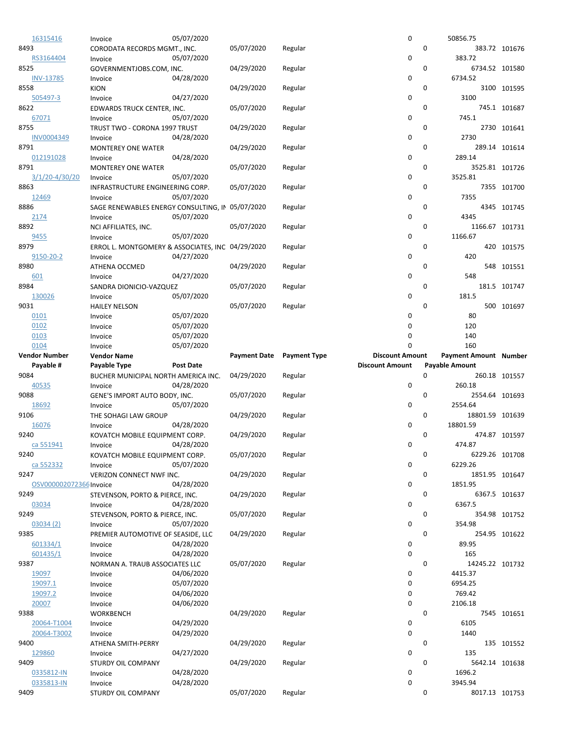| 16315416                        | Invoice                                          | 05/07/2020       |                     |                     | 0                      | 50856.75              |                       |               |
|---------------------------------|--------------------------------------------------|------------------|---------------------|---------------------|------------------------|-----------------------|-----------------------|---------------|
| 8493                            | CORODATA RECORDS MGMT., INC.                     |                  | 05/07/2020          | Regular             |                        | 0                     |                       | 383.72 101676 |
| RS3164404                       | Invoice                                          | 05/07/2020       |                     |                     | 0                      | 383.72                |                       |               |
| 8525                            | GOVERNMENTJOBS.COM, INC.                         |                  | 04/29/2020          | Regular             |                        | 0                     | 6734.52 101580        |               |
| <b>INV-13785</b>                | Invoice                                          | 04/28/2020       |                     |                     | 0                      | 6734.52               |                       |               |
| 8558<br>505497-3                | <b>KION</b>                                      | 04/27/2020       | 04/29/2020          | Regular             | 0                      | 0<br>3100             |                       | 3100 101595   |
| 8622                            | Invoice<br>EDWARDS TRUCK CENTER, INC.            |                  | 05/07/2020          | Regular             |                        | 0                     |                       | 745.1 101687  |
| 67071                           | Invoice                                          | 05/07/2020       |                     |                     | 0                      | 745.1                 |                       |               |
| 8755                            | TRUST TWO - CORONA 1997 TRUST                    |                  | 04/29/2020          | Regular             |                        | 0                     |                       | 2730 101641   |
| INV0004349                      | Invoice                                          | 04/28/2020       |                     |                     | 0                      | 2730                  |                       |               |
| 8791                            | <b>MONTEREY ONE WATER</b>                        |                  | 04/29/2020          | Regular             |                        | 0                     |                       | 289.14 101614 |
| 012191028                       | Invoice                                          | 04/28/2020       |                     |                     | 0                      | 289.14                |                       |               |
| 8791                            | <b>MONTEREY ONE WATER</b>                        |                  | 05/07/2020          | Regular             |                        | 0                     | 3525.81 101726        |               |
| 3/1/20-4/30/20                  | Invoice                                          | 05/07/2020       |                     |                     | 0                      | 3525.81               |                       |               |
| 8863                            | INFRASTRUCTURE ENGINEERING CORP.                 |                  | 05/07/2020          | Regular             |                        | 0                     |                       | 7355 101700   |
| 12469                           | Invoice                                          | 05/07/2020       |                     |                     | 0                      | 7355                  |                       |               |
| 8886                            | SAGE RENEWABLES ENERGY CONSULTING, IN 05/07/2020 |                  |                     | Regular             | 0                      | 0                     |                       | 4345 101745   |
| <u> 2174</u><br>8892            | Invoice<br>NCI AFFILIATES, INC.                  | 05/07/2020       | 05/07/2020          |                     |                        | 4345<br>0             | 1166.67 101731        |               |
| 9455                            | Invoice                                          | 05/07/2020       |                     | Regular             | 0                      | 1166.67               |                       |               |
| 8979                            | ERROL L. MONTGOMERY & ASSOCIATES, INC 04/29/2020 |                  |                     | Regular             |                        | 0                     |                       | 420 101575    |
| 9150-20-2                       | Invoice                                          | 04/27/2020       |                     |                     | 0                      |                       | 420                   |               |
| 8980                            | ATHENA OCCMED                                    |                  | 04/29/2020          | Regular             |                        | 0                     |                       | 548 101551    |
| 601                             | Invoice                                          | 04/27/2020       |                     |                     | 0                      |                       | 548                   |               |
| 8984                            | SANDRA DIONICIO-VAZQUEZ                          |                  | 05/07/2020          | Regular             |                        | 0                     |                       | 181.5 101747  |
| 130026                          | Invoice                                          | 05/07/2020       |                     |                     | $\mathbf 0$            | 181.5                 |                       |               |
| 9031                            | <b>HAILEY NELSON</b>                             |                  | 05/07/2020          | Regular             |                        | 0                     |                       | 500 101697    |
| 0101                            | Invoice                                          | 05/07/2020       |                     |                     | 0                      |                       | 80                    |               |
| 0102                            | Invoice                                          | 05/07/2020       |                     |                     | 0                      |                       | 120                   |               |
| 0103                            | Invoice                                          | 05/07/2020       |                     |                     | 0<br>$\Omega$          |                       | 140<br>160            |               |
| 0104<br><b>Vendor Number</b>    | Invoice<br><b>Vendor Name</b>                    | 05/07/2020       | <b>Payment Date</b> | <b>Payment Type</b> | <b>Discount Amount</b> |                       | Payment Amount Number |               |
|                                 |                                                  |                  |                     |                     |                        |                       |                       |               |
|                                 |                                                  |                  |                     |                     |                        |                       |                       |               |
| Payable #                       | Payable Type                                     | <b>Post Date</b> |                     |                     | <b>Discount Amount</b> | <b>Payable Amount</b> |                       |               |
| 9084<br>40535                   | BUCHER MUNICIPAL NORTH AMERICA INC.              | 04/28/2020       | 04/29/2020          | Regular             | 0                      | 0<br>260.18           |                       | 260.18 101557 |
| 9088                            | Invoice<br>GENE'S IMPORT AUTO BODY, INC.         |                  | 05/07/2020          | Regular             |                        | 0                     | 2554.64 101693        |               |
| 18692                           | Invoice                                          | 05/07/2020       |                     |                     | 0                      | 2554.64               |                       |               |
| 9106                            | THE SOHAGI LAW GROUP                             |                  | 04/29/2020          | Regular             |                        | 0                     | 18801.59 101639       |               |
| 16076                           | Invoice                                          | 04/28/2020       |                     |                     | 0                      | 18801.59              |                       |               |
| 9240                            | KOVATCH MOBILE EQUIPMENT CORP.                   |                  | 04/29/2020          | Regular             |                        | 0                     |                       | 474.87 101597 |
| ca 551941                       | Invoice                                          | 04/28/2020       |                     |                     | 0                      | 474.87                |                       |               |
| 9240                            | KOVATCH MOBILE EQUIPMENT CORP.                   |                  | 05/07/2020          | Regular             |                        | 0                     | 6229.26 101708        |               |
| ca 552332                       | Invoice                                          | 05/07/2020       |                     |                     | 0                      | 6229.26               |                       |               |
| 9247                            | VERIZON CONNECT NWF INC.                         |                  | 04/29/2020          | Regular             |                        | 0                     | 1851.95 101647        |               |
| OSV000002072366 Invoice<br>9249 |                                                  | 04/28/2020       | 04/29/2020          |                     | 0                      | 1851.95<br>0          |                       |               |
| 03034                           | STEVENSON, PORTO & PIERCE, INC.<br>Invoice       | 04/28/2020       |                     | Regular             | 0                      | 6367.5                |                       | 6367.5 101637 |
| 9249                            | STEVENSON, PORTO & PIERCE, INC.                  |                  | 05/07/2020          | Regular             |                        | 0                     |                       | 354.98 101752 |
| 03034 (2)                       | Invoice                                          | 05/07/2020       |                     |                     | 0                      | 354.98                |                       |               |
| 9385                            | PREMIER AUTOMOTIVE OF SEASIDE, LLC               |                  | 04/29/2020          | Regular             |                        | 0                     |                       | 254.95 101622 |
| 601334/1                        | Invoice                                          | 04/28/2020       |                     |                     | 0                      | 89.95                 |                       |               |
| 601435/1                        | Invoice                                          | 04/28/2020       |                     |                     | 0                      |                       | 165                   |               |
| 9387                            | NORMAN A. TRAUB ASSOCIATES LLC                   |                  | 05/07/2020          | Regular             |                        | 0                     | 14245.22 101732       |               |
| 19097                           | Invoice                                          | 04/06/2020       |                     |                     | 0                      | 4415.37               |                       |               |
| 19097.1                         | Invoice                                          | 05/07/2020       |                     |                     | 0                      | 6954.25               |                       |               |
| 19097.2                         | Invoice                                          | 04/06/2020       |                     |                     | 0                      | 769.42                |                       |               |
| 20007<br>9388                   | Invoice                                          | 04/06/2020       | 04/29/2020          | Regular             | 0                      | 2106.18<br>0          |                       |               |
| 20064-T1004                     | <b>WORKBENCH</b><br>Invoice                      | 04/29/2020       |                     |                     | 0                      | 6105                  |                       | 7545 101651   |
| 20064-T3002                     | Invoice                                          | 04/29/2020       |                     |                     | 0                      | 1440                  |                       |               |
| 9400                            | ATHENA SMITH-PERRY                               |                  | 04/29/2020          | Regular             |                        | 0                     |                       | 135 101552    |
| 129860                          | Invoice                                          | 04/27/2020       |                     |                     | 0                      |                       | 135                   |               |
| 9409                            | STURDY OIL COMPANY                               |                  | 04/29/2020          | Regular             |                        | 0                     | 5642.14 101638        |               |
| 0335812-IN                      | Invoice                                          | 04/28/2020       |                     |                     | 0                      | 1696.2                |                       |               |
| 0335813-IN<br>9409              | Invoice<br>STURDY OIL COMPANY                    | 04/28/2020       | 05/07/2020          | Regular             | 0                      | 3945.94<br>0          | 8017.13 101753        |               |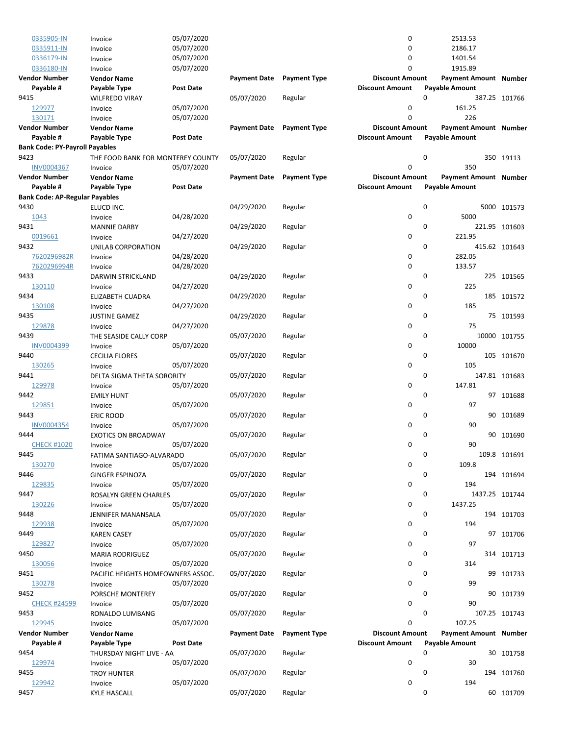| 0335905-IN                            | Invoice                           | 05/07/2020       |                     |                     | 0                      | 2513.53               |               |
|---------------------------------------|-----------------------------------|------------------|---------------------|---------------------|------------------------|-----------------------|---------------|
| 0335911-IN                            | Invoice                           | 05/07/2020       |                     |                     | 0                      | 2186.17               |               |
| 0336179-IN                            | Invoice                           | 05/07/2020       |                     |                     | 0                      | 1401.54               |               |
| 0336180-IN                            | Invoice                           | 05/07/2020       |                     |                     | 0                      | 1915.89               |               |
|                                       |                                   |                  |                     |                     |                        |                       |               |
| <b>Vendor Number</b>                  | <b>Vendor Name</b>                |                  | <b>Payment Date</b> | <b>Payment Type</b> | <b>Discount Amount</b> | Payment Amount Number |               |
| Payable #                             | Payable Type                      | <b>Post Date</b> |                     |                     | <b>Discount Amount</b> | <b>Payable Amount</b> |               |
| 9415                                  | <b>WILFREDO VIRAY</b>             |                  | 05/07/2020          | Regular             | 0                      |                       | 387.25 101766 |
| 129977                                | Invoice                           | 05/07/2020       |                     |                     | 0                      | 161.25                |               |
| 130171                                | Invoice                           | 05/07/2020       |                     |                     | 0                      | 226                   |               |
| <b>Vendor Number</b>                  | <b>Vendor Name</b>                |                  | <b>Payment Date</b> | <b>Payment Type</b> | <b>Discount Amount</b> | Payment Amount Number |               |
|                                       |                                   |                  |                     |                     |                        |                       |               |
| Payable #                             | Payable Type                      | <b>Post Date</b> |                     |                     | <b>Discount Amount</b> | <b>Payable Amount</b> |               |
| <b>Bank Code: PY-Payroll Payables</b> |                                   |                  |                     |                     |                        |                       |               |
| 9423                                  | THE FOOD BANK FOR MONTEREY COUNTY |                  | 05/07/2020          | Regular             | 0                      |                       | 350 19113     |
| <b>INV0004367</b>                     | Invoice                           | 05/07/2020       |                     |                     | 0                      | 350                   |               |
| <b>Vendor Number</b>                  | <b>Vendor Name</b>                |                  | <b>Payment Date</b> | <b>Payment Type</b> | <b>Discount Amount</b> | Payment Amount Number |               |
| Payable #                             | Payable Type                      | <b>Post Date</b> |                     |                     | <b>Discount Amount</b> | <b>Payable Amount</b> |               |
|                                       |                                   |                  |                     |                     |                        |                       |               |
| <b>Bank Code: AP-Regular Payables</b> |                                   |                  |                     |                     |                        |                       |               |
| 9430                                  | ELUCD INC.                        |                  | 04/29/2020          | Regular             | 0                      |                       | 5000 101573   |
| 1043                                  | Invoice                           | 04/28/2020       |                     |                     | 0                      | 5000                  |               |
| 9431                                  | <b>MANNIE DARBY</b>               |                  | 04/29/2020          | Regular             | $\mathbf 0$            |                       | 221.95 101603 |
| 0019661                               | Invoice                           | 04/27/2020       |                     |                     | 0                      | 221.95                |               |
| 9432                                  | UNILAB CORPORATION                |                  | 04/29/2020          | Regular             | 0                      |                       | 415.62 101643 |
|                                       |                                   | 04/28/2020       |                     |                     | 0                      | 282.05                |               |
| 7620296982R                           | Invoice                           |                  |                     |                     |                        |                       |               |
| 7620296994R                           | Invoice                           | 04/28/2020       |                     |                     | 0                      | 133.57                |               |
| 9433                                  | DARWIN STRICKLAND                 |                  | 04/29/2020          | Regular             | 0                      |                       | 225 101565    |
| 130110                                | Invoice                           | 04/27/2020       |                     |                     | 0                      | 225                   |               |
| 9434                                  | <b>ELIZABETH CUADRA</b>           |                  | 04/29/2020          | Regular             | 0                      |                       | 185 101572    |
| 130108                                | Invoice                           | 04/27/2020       |                     |                     | 0                      | 185                   |               |
|                                       |                                   |                  |                     |                     |                        |                       |               |
| 9435                                  | <b>JUSTINE GAMEZ</b>              |                  | 04/29/2020          | Regular             | $\mathbf 0$            |                       | 75 101593     |
| 129878                                | Invoice                           | 04/27/2020       |                     |                     | 0                      | 75                    |               |
| 9439                                  | THE SEASIDE CALLY CORP            |                  | 05/07/2020          | Regular             | 0                      |                       | 10000 101755  |
| INV0004399                            | Invoice                           | 05/07/2020       |                     |                     | 0                      | 10000                 |               |
| 9440                                  | <b>CECILIA FLORES</b>             |                  | 05/07/2020          | Regular             | 0                      |                       | 105 101670    |
| 130265                                | Invoice                           | 05/07/2020       |                     |                     | 0                      | 105                   |               |
|                                       |                                   |                  |                     |                     |                        |                       |               |
| 9441                                  | DELTA SIGMA THETA SORORITY        |                  | 05/07/2020          | Regular             | 0                      |                       | 147.81 101683 |
| 129978                                | Invoice                           | 05/07/2020       |                     |                     | 0                      | 147.81                |               |
| 9442                                  | <b>EMILY HUNT</b>                 |                  | 05/07/2020          | Regular             | 0                      |                       | 97 101688     |
| 129851                                | Invoice                           | 05/07/2020       |                     |                     | 0                      | 97                    |               |
| 9443                                  | ERIC ROOD                         |                  | 05/07/2020          | Regular             | 0                      | 90                    | 101689        |
| <b>INV0004354</b>                     |                                   | 05/07/2020       |                     |                     | 0                      | 90                    |               |
|                                       | Invoice                           |                  |                     |                     |                        |                       |               |
| 9444                                  | <b>EXOTICS ON BROADWAY</b>        |                  | 05/07/2020          | Regular             | 0                      |                       | 90 101690     |
| <b>CHECK #1020</b>                    | Invoice                           | 05/07/2020       |                     |                     | 0                      | 90                    |               |
| 9445                                  | FATIMA SANTIAGO-ALVARADO          |                  | 05/07/2020          | Regular             | 0                      |                       | 109.8 101691  |
| 130270                                | Invoice                           | 05/07/2020       |                     |                     | 0                      | 109.8                 |               |
| 9446                                  | <b>GINGER ESPINOZA</b>            |                  | 05/07/2020          | Regular             | 0                      |                       | 194 101694    |
|                                       |                                   |                  |                     |                     |                        |                       |               |
| 129835                                | Invoice                           | 05/07/2020       |                     |                     | 0                      | 194                   |               |
| 9447                                  | ROSALYN GREEN CHARLES             |                  | 05/07/2020          | Regular             | 0                      | 1437.25 101744        |               |
| 130226                                | Invoice                           | 05/07/2020       |                     |                     | 0                      | 1437.25               |               |
| 9448                                  | JENNIFER MANANSALA                |                  | 05/07/2020          | Regular             | 0                      |                       | 194 101703    |
| 129938                                | Invoice                           | 05/07/2020       |                     |                     | 0                      | 194                   |               |
| 9449                                  | <b>KAREN CASEY</b>                |                  | 05/07/2020          | Regular             | 0                      |                       | 97 101706     |
|                                       |                                   |                  |                     |                     |                        |                       |               |
| 129827                                | Invoice                           | 05/07/2020       |                     |                     | 0                      | 97                    |               |
| 9450                                  | <b>MARIA RODRIGUEZ</b>            |                  | 05/07/2020          | Regular             | 0                      |                       | 314 101713    |
| 130056                                | Invoice                           | 05/07/2020       |                     |                     | 0                      | 314                   |               |
| 9451                                  | PACIFIC HEIGHTS HOMEOWNERS ASSOC. |                  | 05/07/2020          | Regular             | 0                      |                       | 99 101733     |
| 130278                                | Invoice                           | 05/07/2020       |                     |                     | 0                      | 99                    |               |
| 9452                                  | PORSCHE MONTEREY                  |                  | 05/07/2020          | Regular             | 0                      |                       | 90 101739     |
|                                       |                                   |                  |                     |                     |                        |                       |               |
| <b>CHECK #24599</b>                   | Invoice                           | 05/07/2020       |                     |                     | 0                      | 90                    |               |
| 9453                                  | RONALDO LUMBANG                   |                  | 05/07/2020          | Regular             | 0                      |                       | 107.25 101743 |
| 129945                                | Invoice                           | 05/07/2020       |                     |                     | 0                      | 107.25                |               |
| <b>Vendor Number</b>                  | <b>Vendor Name</b>                |                  | <b>Payment Date</b> | <b>Payment Type</b> | <b>Discount Amount</b> | Payment Amount Number |               |
| Payable #                             | Payable Type                      | <b>Post Date</b> |                     |                     | <b>Discount Amount</b> | <b>Payable Amount</b> |               |
| 9454                                  |                                   |                  |                     |                     |                        | 0                     |               |
|                                       | THURSDAY NIGHT LIVE - AA          |                  | 05/07/2020          | Regular             |                        |                       | 30 101758     |
| 129974                                | Invoice                           | 05/07/2020       |                     |                     | 0                      | 30                    |               |
| 9455                                  | <b>TROY HUNTER</b>                |                  | 05/07/2020          | Regular             | 0                      |                       | 194 101760    |
| 129942                                | Invoice                           | 05/07/2020       |                     |                     | 0                      | 194                   |               |
| 9457                                  | <b>KYLE HASCALL</b>               |                  | 05/07/2020          | Regular             | 0                      |                       | 60 101709     |
|                                       |                                   |                  |                     |                     |                        |                       |               |